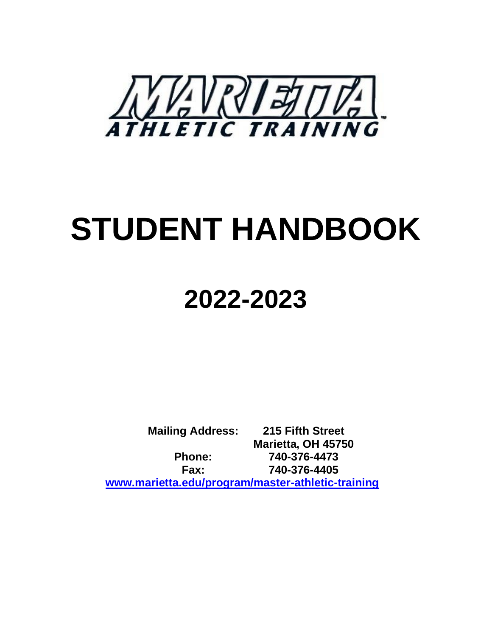

# **STUDENT HANDBOOK**

## **2022-2023**

**Mailing Address: 215 Fifth Street Marietta, OH 45750 Phone: 740-376-4473 Fax: 740-376-4405 [www.marietta.edu/program/master-athletic-training](http://www.marietta.edu/program/master-athletic-training)**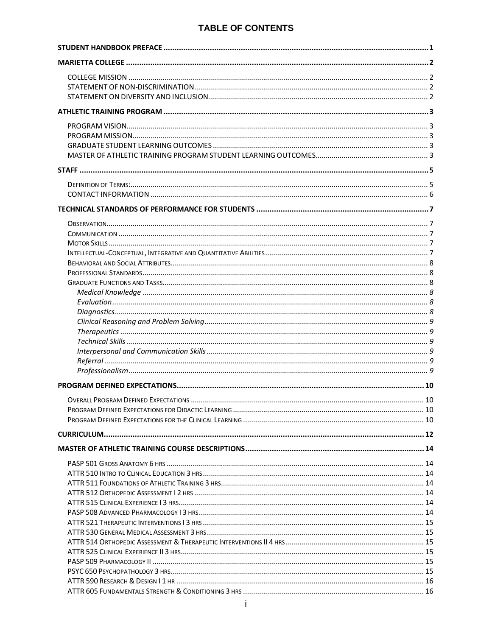## **TABLE OF CONTENTS**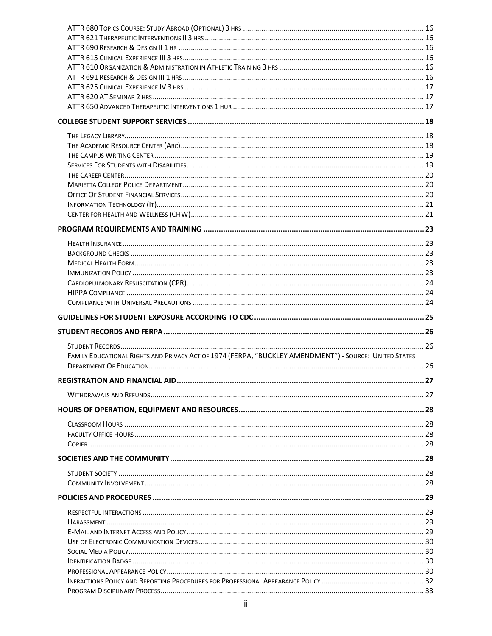| FAMILY EDUCATIONAL RIGHTS AND PRIVACY ACT OF 1974 (FERPA, "BUCKLEY AMENDMENT") - SOURCE: UNITED STATES |  |
|--------------------------------------------------------------------------------------------------------|--|
|                                                                                                        |  |
|                                                                                                        |  |
|                                                                                                        |  |
|                                                                                                        |  |
|                                                                                                        |  |
|                                                                                                        |  |
|                                                                                                        |  |
|                                                                                                        |  |
|                                                                                                        |  |
|                                                                                                        |  |
|                                                                                                        |  |
|                                                                                                        |  |
|                                                                                                        |  |
|                                                                                                        |  |
|                                                                                                        |  |
|                                                                                                        |  |
|                                                                                                        |  |
|                                                                                                        |  |
|                                                                                                        |  |
|                                                                                                        |  |
|                                                                                                        |  |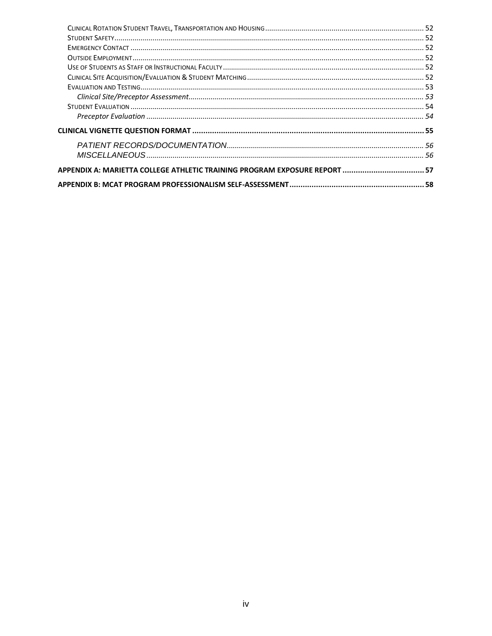| APPENDIX A: MARIETTA COLLEGE ATHLETIC TRAINING PROGRAM EXPOSURE REPORT 57 |  |
|---------------------------------------------------------------------------|--|
|                                                                           |  |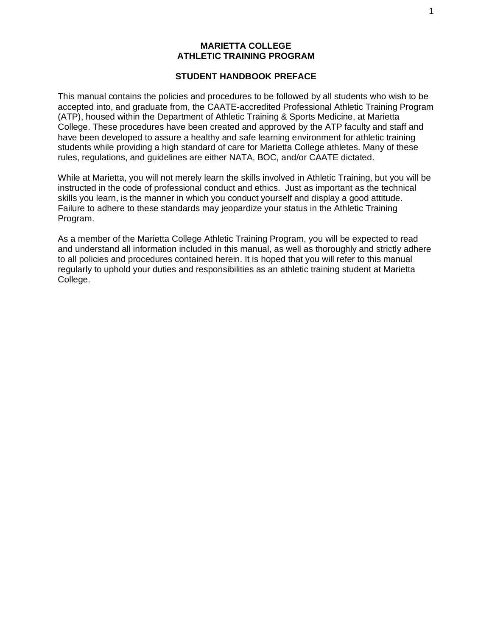#### **MARIETTA COLLEGE ATHLETIC TRAINING PROGRAM**

#### **STUDENT HANDBOOK PREFACE**

<span id="page-5-0"></span>This manual contains the policies and procedures to be followed by all students who wish to be accepted into, and graduate from, the CAATE-accredited Professional Athletic Training Program (ATP), housed within the Department of Athletic Training & Sports Medicine, at Marietta College. These procedures have been created and approved by the ATP faculty and staff and have been developed to assure a healthy and safe learning environment for athletic training students while providing a high standard of care for Marietta College athletes. Many of these rules, regulations, and guidelines are either NATA, BOC, and/or CAATE dictated.

While at Marietta, you will not merely learn the skills involved in Athletic Training, but you will be instructed in the code of professional conduct and ethics. Just as important as the technical skills you learn, is the manner in which you conduct yourself and display a good attitude. Failure to adhere to these standards may jeopardize your status in the Athletic Training Program.

As a member of the Marietta College Athletic Training Program, you will be expected to read and understand all information included in this manual, as well as thoroughly and strictly adhere to all policies and procedures contained herein. It is hoped that you will refer to this manual regularly to uphold your duties and responsibilities as an athletic training student at Marietta College.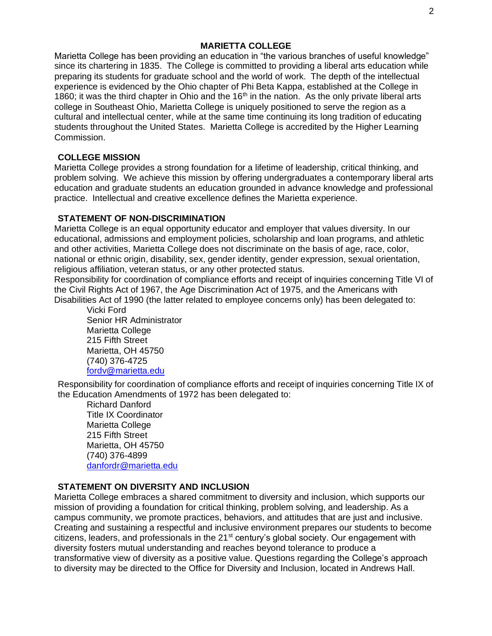#### **MARIETTA COLLEGE**

<span id="page-6-0"></span>Marietta College has been providing an education in "the various branches of useful knowledge" since its chartering in 1835. The College is committed to providing a liberal arts education while preparing its students for graduate school and the world of work. The depth of the intellectual experience is evidenced by the Ohio chapter of Phi Beta Kappa, established at the College in 1860; it was the third chapter in Ohio and the  $16<sup>th</sup>$  in the nation. As the only private liberal arts college in Southeast Ohio, Marietta College is uniquely positioned to serve the region as a cultural and intellectual center, while at the same time continuing its long tradition of educating students throughout the United States. Marietta College is accredited by the Higher Learning Commission.

## <span id="page-6-1"></span>**COLLEGE MISSION**

Marietta College provides a strong foundation for a lifetime of leadership, critical thinking, and problem solving. We achieve this mission by offering undergraduates a contemporary liberal arts education and graduate students an education grounded in advance knowledge and professional practice. Intellectual and creative excellence defines the Marietta experience.

## <span id="page-6-2"></span>**STATEMENT OF NON-DISCRIMINATION**

Marietta College is an equal opportunity educator and employer that values diversity. In our educational, admissions and employment policies, scholarship and loan programs, and athletic and other activities, Marietta College does not discriminate on the basis of age, race, color, national or ethnic origin, disability, sex, gender identity, gender expression, sexual orientation, religious affiliation, veteran status, or any other protected status.

Responsibility for coordination of compliance efforts and receipt of inquiries concerning Title VI of the Civil Rights Act of 1967, the Age Discrimination Act of 1975, and the Americans with Disabilities Act of 1990 (the latter related to employee concerns only) has been delegated to:

Vicki Ford Senior HR Administrator Marietta College 215 Fifth Street Marietta, OH 45750 (740) 376-4725 [fordv@marietta.edu](mailto:fordv@marietta.edu)

Responsibility for coordination of compliance efforts and receipt of inquiries concerning Title IX of the Education Amendments of 1972 has been delegated to:

Richard Danford Title IX Coordinator Marietta College 215 Fifth Street Marietta, OH 45750 (740) 376-4899 [danfordr@marietta.edu](mailto:danfordr@marietta.edu)

## <span id="page-6-3"></span>**STATEMENT ON DIVERSITY AND INCLUSION**

Marietta College embraces a shared commitment to diversity and inclusion, which supports our mission of providing a foundation for critical thinking, problem solving, and leadership. As a campus community, we promote practices, behaviors, and attitudes that are just and inclusive. Creating and sustaining a respectful and inclusive environment prepares our students to become citizens, leaders, and professionals in the 21<sup>st</sup> century's global society. Our engagement with diversity fosters mutual understanding and reaches beyond tolerance to produce a transformative view of diversity as a positive value. Questions regarding the College's approach to diversity may be directed to the Office for Diversity and Inclusion, located in Andrews Hall.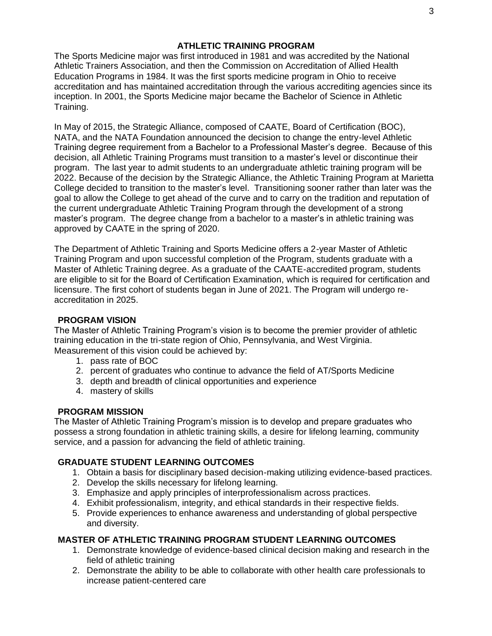#### **ATHLETIC TRAINING PROGRAM**

<span id="page-7-0"></span>The Sports Medicine major was first introduced in 1981 and was accredited by the National Athletic Trainers Association, and then the Commission on Accreditation of Allied Health Education Programs in 1984. It was the first sports medicine program in Ohio to receive accreditation and has maintained accreditation through the various accrediting agencies since its inception. In 2001, the Sports Medicine major became the Bachelor of Science in Athletic Training.

In May of 2015, the Strategic Alliance, composed of CAATE, Board of Certification (BOC), NATA, and the NATA Foundation announced the decision to change the entry-level Athletic Training degree requirement from a Bachelor to a Professional Master's degree. Because of this decision, all Athletic Training Programs must transition to a master's level or discontinue their program. The last year to admit students to an undergraduate athletic training program will be 2022. Because of the decision by the Strategic Alliance, the Athletic Training Program at Marietta College decided to transition to the master's level. Transitioning sooner rather than later was the goal to allow the College to get ahead of the curve and to carry on the tradition and reputation of the current undergraduate Athletic Training Program through the development of a strong master's program. The degree change from a bachelor to a master's in athletic training was approved by CAATE in the spring of 2020.

The Department of Athletic Training and Sports Medicine offers a 2-year Master of Athletic Training Program and upon successful completion of the Program, students graduate with a Master of Athletic Training degree. As a graduate of the CAATE-accredited program, students are eligible to sit for the Board of Certification Examination, which is required for certification and licensure. The first cohort of students began in June of 2021. The Program will undergo reaccreditation in 2025.

#### <span id="page-7-1"></span>**PROGRAM VISION**

The Master of Athletic Training Program's vision is to become the premier provider of athletic training education in the tri-state region of Ohio, Pennsylvania, and West Virginia. Measurement of this vision could be achieved by:

- 1. pass rate of BOC
- 2. percent of graduates who continue to advance the field of AT/Sports Medicine
- 3. depth and breadth of clinical opportunities and experience
- 4. mastery of skills

#### <span id="page-7-2"></span>**PROGRAM MISSION**

The Master of Athletic Training Program's mission is to develop and prepare graduates who possess a strong foundation in athletic training skills, a desire for lifelong learning, community service, and a passion for advancing the field of athletic training.

#### <span id="page-7-3"></span>**GRADUATE STUDENT LEARNING OUTCOMES**

- 1. Obtain a basis for disciplinary based decision-making utilizing evidence-based practices.
- 2. Develop the skills necessary for lifelong learning.
- 3. Emphasize and apply principles of interprofessionalism across practices.
- 4. Exhibit professionalism, integrity, and ethical standards in their respective fields.
- 5. Provide experiences to enhance awareness and understanding of global perspective and diversity.

#### <span id="page-7-4"></span>**MASTER OF ATHLETIC TRAINING PROGRAM STUDENT LEARNING OUTCOMES**

- 1. Demonstrate knowledge of evidence-based clinical decision making and research in the field of athletic training
- 2. Demonstrate the ability to be able to collaborate with other health care professionals to increase patient-centered care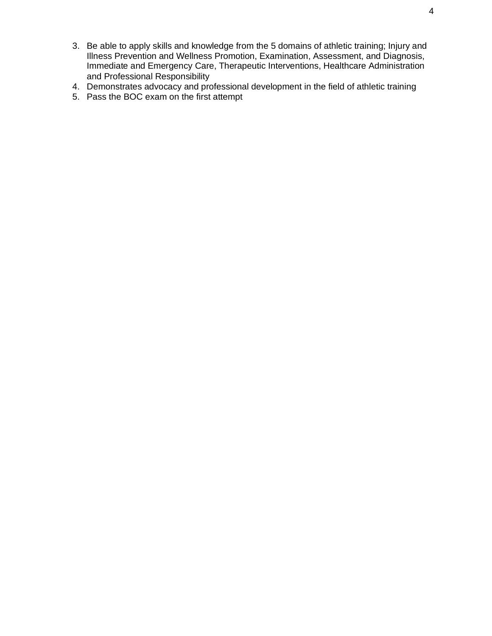- 3. Be able to apply skills and knowledge from the 5 domains of athletic training; Injury and Illness Prevention and Wellness Promotion, Examination, Assessment, and Diagnosis, Immediate and Emergency Care, Therapeutic Interventions, Healthcare Administration and Professional Responsibility
- 4. Demonstrates advocacy and professional development in the field of athletic training
- 5. Pass the BOC exam on the first attempt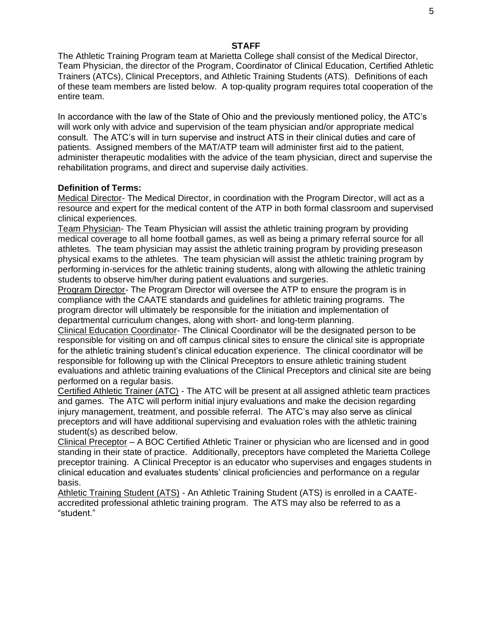#### **STAFF**

<span id="page-9-0"></span>The Athletic Training Program team at Marietta College shall consist of the Medical Director, Team Physician, the director of the Program, Coordinator of Clinical Education, Certified Athletic Trainers (ATCs), Clinical Preceptors, and Athletic Training Students (ATS). Definitions of each of these team members are listed below. A top-quality program requires total cooperation of the entire team.

In accordance with the law of the State of Ohio and the previously mentioned policy, the ATC's will work only with advice and supervision of the team physician and/or appropriate medical consult. The ATC's will in turn supervise and instruct ATS in their clinical duties and care of patients. Assigned members of the MAT/ATP team will administer first aid to the patient, administer therapeutic modalities with the advice of the team physician, direct and supervise the rehabilitation programs, and direct and supervise daily activities.

#### <span id="page-9-1"></span>**Definition of Terms:**

Medical Director- The Medical Director, in coordination with the Program Director, will act as a resource and expert for the medical content of the ATP in both formal classroom and supervised clinical experiences.

Team Physician- The Team Physician will assist the athletic training program by providing medical coverage to all home football games, as well as being a primary referral source for all athletes. The team physician may assist the athletic training program by providing preseason physical exams to the athletes. The team physician will assist the athletic training program by performing in-services for the athletic training students, along with allowing the athletic training students to observe him/her during patient evaluations and surgeries.

Program Director- The Program Director will oversee the ATP to ensure the program is in compliance with the CAATE standards and guidelines for athletic training programs. The program director will ultimately be responsible for the initiation and implementation of departmental curriculum changes, along with short- and long-term planning.

Clinical Education Coordinator- The Clinical Coordinator will be the designated person to be responsible for visiting on and off campus clinical sites to ensure the clinical site is appropriate for the athletic training student's clinical education experience. The clinical coordinator will be responsible for following up with the Clinical Preceptors to ensure athletic training student evaluations and athletic training evaluations of the Clinical Preceptors and clinical site are being performed on a regular basis.

Certified Athletic Trainer (ATC) - The ATC will be present at all assigned athletic team practices and games. The ATC will perform initial injury evaluations and make the decision regarding injury management, treatment, and possible referral. The ATC's may also serve as clinical preceptors and will have additional supervising and evaluation roles with the athletic training student(s) as described below.

Clinical Preceptor – A BOC Certified Athletic Trainer or physician who are licensed and in good standing in their state of practice. Additionally, preceptors have completed the Marietta College preceptor training. A Clinical Preceptor is an educator who supervises and engages students in clinical education and evaluates students' clinical proficiencies and performance on a regular basis.

Athletic Training Student (ATS) - An Athletic Training Student (ATS) is enrolled in a CAATEaccredited professional athletic training program. The ATS may also be referred to as a "student."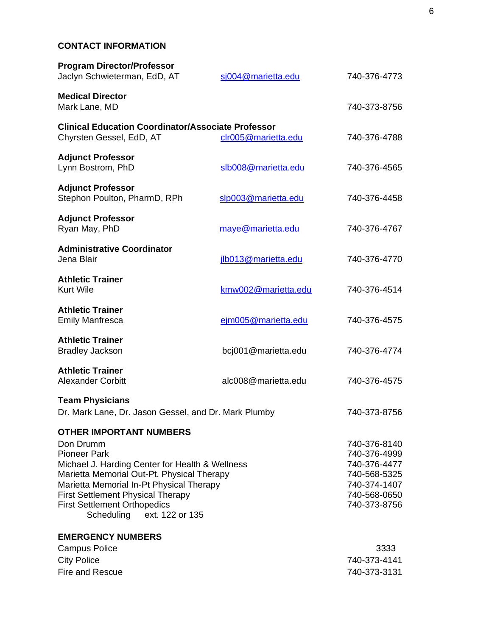## <span id="page-10-0"></span>**CONTACT INFORMATION**

| <b>Program Director/Professor</b><br>Jaclyn Schwieterman, EdD, AT                                                                                                                                                                                                                                                                   | sj004@marietta.edu  | 740-376-4773                                                                                                 |
|-------------------------------------------------------------------------------------------------------------------------------------------------------------------------------------------------------------------------------------------------------------------------------------------------------------------------------------|---------------------|--------------------------------------------------------------------------------------------------------------|
| <b>Medical Director</b><br>Mark Lane, MD                                                                                                                                                                                                                                                                                            |                     | 740-373-8756                                                                                                 |
| <b>Clinical Education Coordinator/Associate Professor</b><br>Chyrsten Gessel, EdD, AT                                                                                                                                                                                                                                               | clr005@marietta.edu | 740-376-4788                                                                                                 |
| <b>Adjunct Professor</b><br>Lynn Bostrom, PhD                                                                                                                                                                                                                                                                                       | slb008@marietta.edu | 740-376-4565                                                                                                 |
| <b>Adjunct Professor</b><br>Stephon Poulton, PharmD, RPh                                                                                                                                                                                                                                                                            | slp003@marietta.edu | 740-376-4458                                                                                                 |
| <b>Adjunct Professor</b><br>Ryan May, PhD                                                                                                                                                                                                                                                                                           | maye@marietta.edu   | 740-376-4767                                                                                                 |
| <b>Administrative Coordinator</b><br>Jena Blair                                                                                                                                                                                                                                                                                     | jlb013@marietta.edu | 740-376-4770                                                                                                 |
| <b>Athletic Trainer</b><br><b>Kurt Wile</b>                                                                                                                                                                                                                                                                                         | kmw002@marietta.edu | 740-376-4514                                                                                                 |
| <b>Athletic Trainer</b><br><b>Emily Manfresca</b>                                                                                                                                                                                                                                                                                   | ejm005@marietta.edu | 740-376-4575                                                                                                 |
| <b>Athletic Trainer</b><br><b>Bradley Jackson</b>                                                                                                                                                                                                                                                                                   | bcj001@marietta.edu | 740-376-4774                                                                                                 |
| <b>Athletic Trainer</b><br><b>Alexander Corbitt</b>                                                                                                                                                                                                                                                                                 | alc008@marietta.edu | 740-376-4575                                                                                                 |
| <b>Team Physicians</b><br>Dr. Mark Lane, Dr. Jason Gessel, and Dr. Mark Plumby                                                                                                                                                                                                                                                      |                     | 740-373-8756                                                                                                 |
| <b>OTHER IMPORTANT NUMBERS</b><br>Don Drumm<br><b>Pioneer Park</b><br>Michael J. Harding Center for Health & Wellness<br>Marietta Memorial Out-Pt. Physical Therapy<br>Marietta Memorial In-Pt Physical Therapy<br><b>First Settlement Physical Therapy</b><br><b>First Settlement Orthopedics</b><br>Scheduling<br>ext. 122 or 135 |                     | 740-376-8140<br>740-376-4999<br>740-376-4477<br>740-568-5325<br>740-374-1407<br>740-568-0650<br>740-373-8756 |
| <b>EMERGENCY NUMBERS</b><br><b>Campus Police</b><br><b>City Police</b><br><b>Fire and Rescue</b>                                                                                                                                                                                                                                    |                     | 3333<br>740-373-4141<br>740-373-3131                                                                         |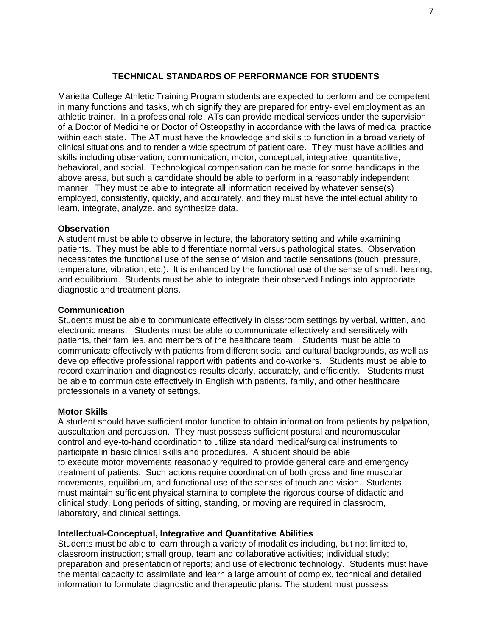#### **TECHNICAL STANDARDS OF PERFORMANCE FOR STUDENTS**

<span id="page-11-0"></span>Marietta College Athletic Training Program students are expected to perform and be competent in many functions and tasks, which signify they are prepared for entry-level employment as an athletic trainer. In a professional role, ATs can provide medical services under the supervision of a Doctor of Medicine or Doctor of Osteopathy in accordance with the laws of medical practice within each state. The AT must have the knowledge and skills to function in a broad variety of clinical situations and to render a wide spectrum of patient care. They must have abilities and skills including observation, communication, motor, conceptual, integrative, quantitative, behavioral, and social. Technological compensation can be made for some handicaps in the above areas, but such a candidate should be able to perform in a reasonably independent manner. They must be able to integrate all information received by whatever sense(s) employed, consistently, quickly, and accurately, and they must have the intellectual ability to learn, integrate, analyze, and synthesize data.

#### <span id="page-11-1"></span>**Observation**

A student must be able to observe in lecture, the laboratory setting and while examining patients. They must be able to differentiate normal versus pathological states. Observation necessitates the functional use of the sense of vision and tactile sensations (touch, pressure, temperature, vibration, etc.). It is enhanced by the functional use of the sense of smell, hearing, and equilibrium. Students must be able to integrate their observed findings into appropriate diagnostic and treatment plans.

#### <span id="page-11-2"></span>**Communication**

Students must be able to communicate effectively in classroom settings by verbal, written, and electronic means. Students must be able to communicate effectively and sensitively with patients, their families, and members of the healthcare team. Students must be able to communicate effectively with patients from different social and cultural backgrounds, as well as develop effective professional rapport with patients and co-workers. Students must be able to record examination and diagnostics results clearly, accurately, and efficiently. Students must be able to communicate effectively in English with patients, family, and other healthcare professionals in a variety of settings.

#### <span id="page-11-3"></span>**Motor Skills**

A student should have sufficient motor function to obtain information from patients by palpation, auscultation and percussion. They must possess sufficient postural and neuromuscular control and eye-to-hand coordination to utilize standard medical/surgical instruments to participate in basic clinical skills and procedures. A student should be able to execute motor movements reasonably required to provide general care and emergency treatment of patients. Such actions require coordination of both gross and fine muscular movements, equilibrium, and functional use of the senses of touch and vision. Students must maintain sufficient physical stamina to complete the rigorous course of didactic and clinical study. Long periods of sitting, standing, or moving are required in classroom, laboratory, and clinical settings.

#### <span id="page-11-4"></span>**Intellectual-Conceptual, Integrative and Quantitative Abilities**

Students must be able to learn through a variety of modalities including, but not limited to, classroom instruction; small group, team and collaborative activities; individual study; preparation and presentation of reports; and use of electronic technology. Students must have the mental capacity to assimilate and learn a large amount of complex, technical and detailed information to formulate diagnostic and therapeutic plans. The student must possess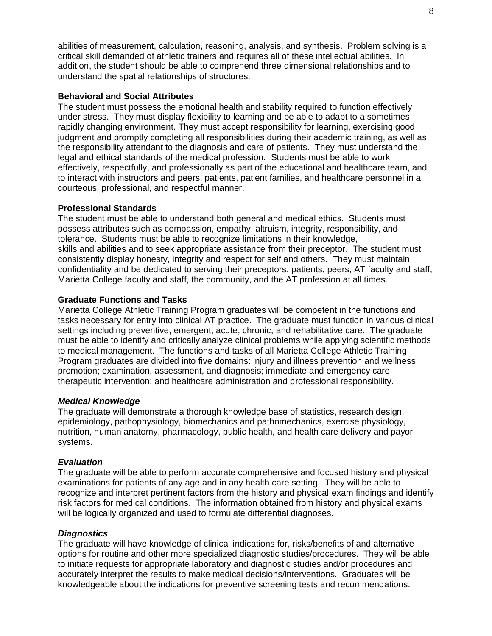abilities of measurement, calculation, reasoning, analysis, and synthesis. Problem solving is a critical skill demanded of athletic trainers and requires all of these intellectual abilities. In addition, the student should be able to comprehend three dimensional relationships and to understand the spatial relationships of structures.

#### <span id="page-12-0"></span>**Behavioral and Social Attributes**

The student must possess the emotional health and stability required to function effectively under stress. They must display flexibility to learning and be able to adapt to a sometimes rapidly changing environment. They must accept responsibility for learning, exercising good judgment and promptly completing all responsibilities during their academic training, as well as the responsibility attendant to the diagnosis and care of patients. They must understand the legal and ethical standards of the medical profession. Students must be able to work effectively, respectfully, and professionally as part of the educational and healthcare team, and to interact with instructors and peers, patients, patient families, and healthcare personnel in a courteous, professional, and respectful manner.

#### <span id="page-12-1"></span>**Professional Standards**

The student must be able to understand both general and medical ethics. Students must possess attributes such as compassion, empathy, altruism, integrity, responsibility, and tolerance. Students must be able to recognize limitations in their knowledge, skills and abilities and to seek appropriate assistance from their preceptor. The student must consistently display honesty, integrity and respect for self and others. They must maintain confidentiality and be dedicated to serving their preceptors, patients, peers, AT faculty and staff, Marietta College faculty and staff, the community, and the AT profession at all times.

#### <span id="page-12-2"></span>**Graduate Functions and Tasks**

Marietta College Athletic Training Program graduates will be competent in the functions and tasks necessary for entry into clinical AT practice. The graduate must function in various clinical settings including preventive, emergent, acute, chronic, and rehabilitative care. The graduate must be able to identify and critically analyze clinical problems while applying scientific methods to medical management. The functions and tasks of all Marietta College Athletic Training Program graduates are divided into five domains: injury and illness prevention and wellness promotion; examination, assessment, and diagnosis; immediate and emergency care; therapeutic intervention; and healthcare administration and professional responsibility.

#### <span id="page-12-3"></span>*Medical Knowledge*

The graduate will demonstrate a thorough knowledge base of statistics, research design, epidemiology, pathophysiology, biomechanics and pathomechanics, exercise physiology, nutrition, human anatomy, pharmacology, public health, and health care delivery and payor systems.

#### <span id="page-12-4"></span>*Evaluation*

The graduate will be able to perform accurate comprehensive and focused history and physical examinations for patients of any age and in any health care setting. They will be able to recognize and interpret pertinent factors from the history and physical exam findings and identify risk factors for medical conditions. The information obtained from history and physical exams will be logically organized and used to formulate differential diagnoses.

#### <span id="page-12-5"></span>*Diagnostics*

The graduate will have knowledge of clinical indications for, risks/benefits of and alternative options for routine and other more specialized diagnostic studies/procedures. They will be able to initiate requests for appropriate laboratory and diagnostic studies and/or procedures and accurately interpret the results to make medical decisions/interventions. Graduates will be knowledgeable about the indications for preventive screening tests and recommendations.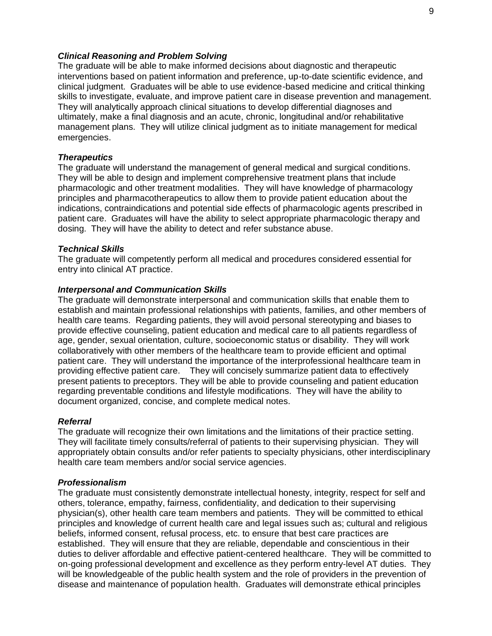#### <span id="page-13-0"></span>*Clinical Reasoning and Problem Solving*

The graduate will be able to make informed decisions about diagnostic and therapeutic interventions based on patient information and preference, up-to-date scientific evidence, and clinical judgment. Graduates will be able to use evidence-based medicine and critical thinking skills to investigate, evaluate, and improve patient care in disease prevention and management. They will analytically approach clinical situations to develop differential diagnoses and ultimately, make a final diagnosis and an acute, chronic, longitudinal and/or rehabilitative management plans. They will utilize clinical judgment as to initiate management for medical emergencies.

#### <span id="page-13-1"></span>*Therapeutics*

The graduate will understand the management of general medical and surgical conditions. They will be able to design and implement comprehensive treatment plans that include pharmacologic and other treatment modalities. They will have knowledge of pharmacology principles and pharmacotherapeutics to allow them to provide patient education about the indications, contraindications and potential side effects of pharmacologic agents prescribed in patient care. Graduates will have the ability to select appropriate pharmacologic therapy and dosing. They will have the ability to detect and refer substance abuse.

#### <span id="page-13-2"></span>*Technical Skills*

The graduate will competently perform all medical and procedures considered essential for entry into clinical AT practice.

#### <span id="page-13-3"></span>*Interpersonal and Communication Skills*

The graduate will demonstrate interpersonal and communication skills that enable them to establish and maintain professional relationships with patients, families, and other members of health care teams. Regarding patients, they will avoid personal stereotyping and biases to provide effective counseling, patient education and medical care to all patients regardless of age, gender, sexual orientation, culture, socioeconomic status or disability. They will work collaboratively with other members of the healthcare team to provide efficient and optimal patient care. They will understand the importance of the interprofessional healthcare team in providing effective patient care. They will concisely summarize patient data to effectively present patients to preceptors. They will be able to provide counseling and patient education regarding preventable conditions and lifestyle modifications. They will have the ability to document organized, concise, and complete medical notes.

#### <span id="page-13-4"></span>*Referral*

The graduate will recognize their own limitations and the limitations of their practice setting. They will facilitate timely consults/referral of patients to their supervising physician. They will appropriately obtain consults and/or refer patients to specialty physicians, other interdisciplinary health care team members and/or social service agencies.

#### <span id="page-13-5"></span>*Professionalism*

The graduate must consistently demonstrate intellectual honesty, integrity, respect for self and others, tolerance, empathy, fairness, confidentiality, and dedication to their supervising physician(s), other health care team members and patients. They will be committed to ethical principles and knowledge of current health care and legal issues such as; cultural and religious beliefs, informed consent, refusal process, etc. to ensure that best care practices are established. They will ensure that they are reliable, dependable and conscientious in their duties to deliver affordable and effective patient-centered healthcare. They will be committed to on-going professional development and excellence as they perform entry-level AT duties. They will be knowledgeable of the public health system and the role of providers in the prevention of disease and maintenance of population health. Graduates will demonstrate ethical principles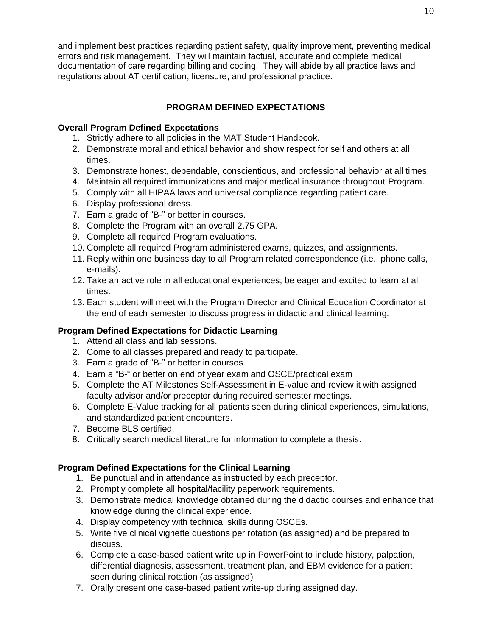and implement best practices regarding patient safety, quality improvement, preventing medical errors and risk management. They will maintain factual, accurate and complete medical documentation of care regarding billing and coding. They will abide by all practice laws and regulations about AT certification, licensure, and professional practice.

## **PROGRAM DEFINED EXPECTATIONS**

## <span id="page-14-1"></span><span id="page-14-0"></span>**Overall Program Defined Expectations**

- 1. Strictly adhere to all policies in the MAT Student Handbook.
- 2. Demonstrate moral and ethical behavior and show respect for self and others at all times.
- 3. Demonstrate honest, dependable, conscientious, and professional behavior at all times.
- 4. Maintain all required immunizations and major medical insurance throughout Program.
- 5. Comply with all HIPAA laws and universal compliance regarding patient care.
- 6. Display professional dress.
- 7. Earn a grade of "B-" or better in courses.
- 8. Complete the Program with an overall 2.75 GPA.
- 9. Complete all required Program evaluations.
- 10. Complete all required Program administered exams, quizzes, and assignments.
- 11. Reply within one business day to all Program related correspondence (i.e., phone calls, e-mails).
- 12. Take an active role in all educational experiences; be eager and excited to learn at all times.
- 13. Each student will meet with the Program Director and Clinical Education Coordinator at the end of each semester to discuss progress in didactic and clinical learning.

## <span id="page-14-2"></span>**Program Defined Expectations for Didactic Learning**

- 1. Attend all class and lab sessions.
- 2. Come to all classes prepared and ready to participate.
- 3. Earn a grade of "B-" or better in courses
- 4. Earn a "B-" or better on end of year exam and OSCE/practical exam
- 5. Complete the AT Milestones Self-Assessment in E-value and review it with assigned faculty advisor and/or preceptor during required semester meetings.
- 6. Complete E-Value tracking for all patients seen during clinical experiences, simulations, and standardized patient encounters.
- 7. Become BLS certified.
- 8. Critically search medical literature for information to complete a thesis.

## <span id="page-14-3"></span>**Program Defined Expectations for the Clinical Learning**

- 1. Be punctual and in attendance as instructed by each preceptor.
- 2. Promptly complete all hospital/facility paperwork requirements.
- 3. Demonstrate medical knowledge obtained during the didactic courses and enhance that knowledge during the clinical experience.
- 4. Display competency with technical skills during OSCEs.
- 5. Write five clinical vignette questions per rotation (as assigned) and be prepared to discuss.
- 6. Complete a case-based patient write up in PowerPoint to include history, palpation, differential diagnosis, assessment, treatment plan, and EBM evidence for a patient seen during clinical rotation (as assigned)
- 7. Orally present one case-based patient write-up during assigned day.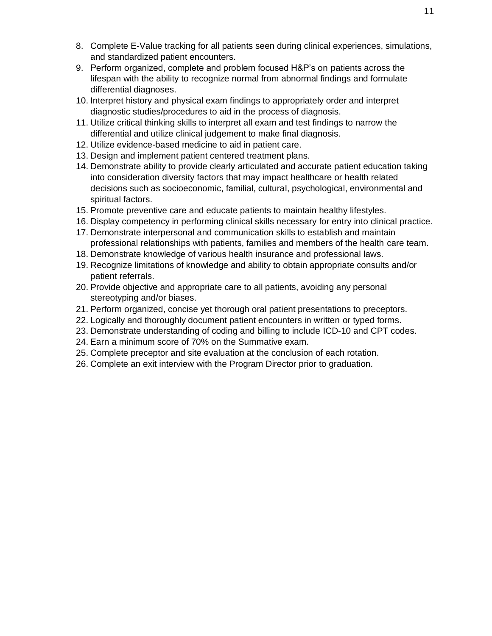- 8. Complete E-Value tracking for all patients seen during clinical experiences, simulations, and standardized patient encounters.
- 9. Perform organized, complete and problem focused H&P's on patients across the lifespan with the ability to recognize normal from abnormal findings and formulate differential diagnoses.
- 10. Interpret history and physical exam findings to appropriately order and interpret diagnostic studies/procedures to aid in the process of diagnosis.
- 11. Utilize critical thinking skills to interpret all exam and test findings to narrow the differential and utilize clinical judgement to make final diagnosis.
- 12. Utilize evidence-based medicine to aid in patient care.
- 13. Design and implement patient centered treatment plans.
- 14. Demonstrate ability to provide clearly articulated and accurate patient education taking into consideration diversity factors that may impact healthcare or health related decisions such as socioeconomic, familial, cultural, psychological, environmental and spiritual factors.
- 15. Promote preventive care and educate patients to maintain healthy lifestyles.
- 16. Display competency in performing clinical skills necessary for entry into clinical practice.
- 17. Demonstrate interpersonal and communication skills to establish and maintain professional relationships with patients, families and members of the health care team.
- 18. Demonstrate knowledge of various health insurance and professional laws.
- 19. Recognize limitations of knowledge and ability to obtain appropriate consults and/or patient referrals.
- 20. Provide objective and appropriate care to all patients, avoiding any personal stereotyping and/or biases.
- 21. Perform organized, concise yet thorough oral patient presentations to preceptors.
- 22. Logically and thoroughly document patient encounters in written or typed forms.
- 23. Demonstrate understanding of coding and billing to include ICD-10 and CPT codes.
- 24. Earn a minimum score of 70% on the Summative exam.
- 25. Complete preceptor and site evaluation at the conclusion of each rotation.
- 26. Complete an exit interview with the Program Director prior to graduation.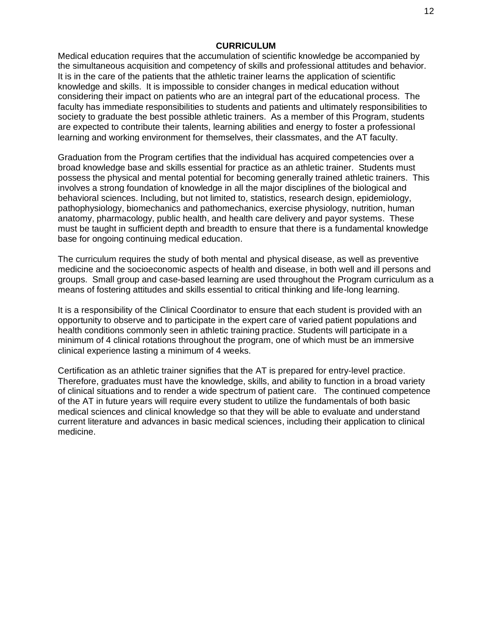#### **CURRICULUM**

<span id="page-16-0"></span>Medical education requires that the accumulation of scientific knowledge be accompanied by the simultaneous acquisition and competency of skills and professional attitudes and behavior. It is in the care of the patients that the athletic trainer learns the application of scientific knowledge and skills. It is impossible to consider changes in medical education without considering their impact on patients who are an integral part of the educational process. The faculty has immediate responsibilities to students and patients and ultimately responsibilities to society to graduate the best possible athletic trainers. As a member of this Program, students are expected to contribute their talents, learning abilities and energy to foster a professional learning and working environment for themselves, their classmates, and the AT faculty.

Graduation from the Program certifies that the individual has acquired competencies over a broad knowledge base and skills essential for practice as an athletic trainer. Students must possess the physical and mental potential for becoming generally trained athletic trainers. This involves a strong foundation of knowledge in all the major disciplines of the biological and behavioral sciences. Including, but not limited to, statistics, research design, epidemiology, pathophysiology, biomechanics and pathomechanics, exercise physiology, nutrition, human anatomy, pharmacology, public health, and health care delivery and payor systems. These must be taught in sufficient depth and breadth to ensure that there is a fundamental knowledge base for ongoing continuing medical education.

The curriculum requires the study of both mental and physical disease, as well as preventive medicine and the socioeconomic aspects of health and disease, in both well and ill persons and groups. Small group and case-based learning are used throughout the Program curriculum as a means of fostering attitudes and skills essential to critical thinking and life-long learning.

It is a responsibility of the Clinical Coordinator to ensure that each student is provided with an opportunity to observe and to participate in the expert care of varied patient populations and health conditions commonly seen in athletic training practice. Students will participate in a minimum of 4 clinical rotations throughout the program, one of which must be an immersive clinical experience lasting a minimum of 4 weeks.

Certification as an athletic trainer signifies that the AT is prepared for entry-level practice. Therefore, graduates must have the knowledge, skills, and ability to function in a broad variety of clinical situations and to render a wide spectrum of patient care. The continued competence of the AT in future years will require every student to utilize the fundamentals of both basic medical sciences and clinical knowledge so that they will be able to evaluate and understand current literature and advances in basic medical sciences, including their application to clinical medicine.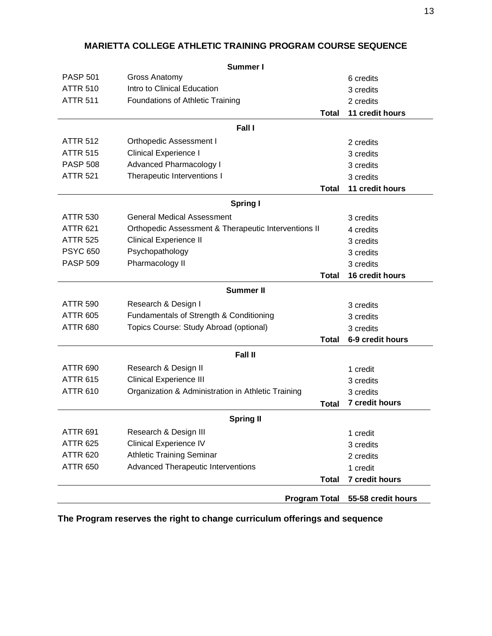|                 | Summer I                                             |                    |
|-----------------|------------------------------------------------------|--------------------|
| <b>PASP 501</b> | <b>Gross Anatomy</b>                                 | 6 credits          |
| <b>ATTR 510</b> | Intro to Clinical Education                          | 3 credits          |
| <b>ATTR 511</b> | Foundations of Athletic Training                     | 2 credits          |
|                 | <b>Total</b>                                         | 11 credit hours    |
|                 | Fall I                                               |                    |
| <b>ATTR 512</b> | <b>Orthopedic Assessment I</b>                       | 2 credits          |
| <b>ATTR 515</b> | <b>Clinical Experience I</b>                         | 3 credits          |
| <b>PASP 508</b> | <b>Advanced Pharmacology I</b>                       | 3 credits          |
| <b>ATTR 521</b> | Therapeutic Interventions I                          | 3 credits          |
|                 | <b>Total</b>                                         | 11 credit hours    |
|                 | <b>Spring I</b>                                      |                    |
| <b>ATTR 530</b> | <b>General Medical Assessment</b>                    | 3 credits          |
| <b>ATTR 621</b> | Orthopedic Assessment & Therapeutic Interventions II | 4 credits          |
| <b>ATTR 525</b> | <b>Clinical Experience II</b>                        | 3 credits          |
| <b>PSYC 650</b> | Psychopathology                                      | 3 credits          |
| <b>PASP 509</b> | Pharmacology II                                      | 3 credits          |
|                 | <b>Total</b>                                         | 16 credit hours    |
|                 | <b>Summer II</b>                                     |                    |
| <b>ATTR 590</b> | Research & Design I                                  | 3 credits          |
| <b>ATTR 605</b> | Fundamentals of Strength & Conditioning              | 3 credits          |
| <b>ATTR 680</b> | Topics Course: Study Abroad (optional)               | 3 credits          |
|                 | <b>Total</b>                                         | 6-9 credit hours   |
|                 | <b>Fall II</b>                                       |                    |
| <b>ATTR 690</b> | Research & Design II                                 | 1 credit           |
| <b>ATTR 615</b> | <b>Clinical Experience III</b>                       | 3 credits          |
| <b>ATTR 610</b> | Organization & Administration in Athletic Training   | 3 credits          |
|                 | <b>Total</b>                                         | 7 credit hours     |
|                 | <b>Spring II</b>                                     |                    |
| <b>ATTR 691</b> | Research & Design III                                | 1 credit           |
| <b>ATTR 625</b> | <b>Clinical Experience IV</b>                        | 3 credits          |
| <b>ATTR 620</b> | <b>Athletic Training Seminar</b>                     | 2 credits          |
| <b>ATTR 650</b> | <b>Advanced Therapeutic Interventions</b>            | 1 credit           |
|                 | <b>Total</b>                                         | 7 credit hours     |
|                 |                                                      |                    |
|                 | <b>Program Total</b>                                 | 55-58 credit hours |

## **MARIETTA COLLEGE ATHLETIC TRAINING PROGRAM COURSE SEQUENCE**

**The Program reserves the right to change curriculum offerings and sequence**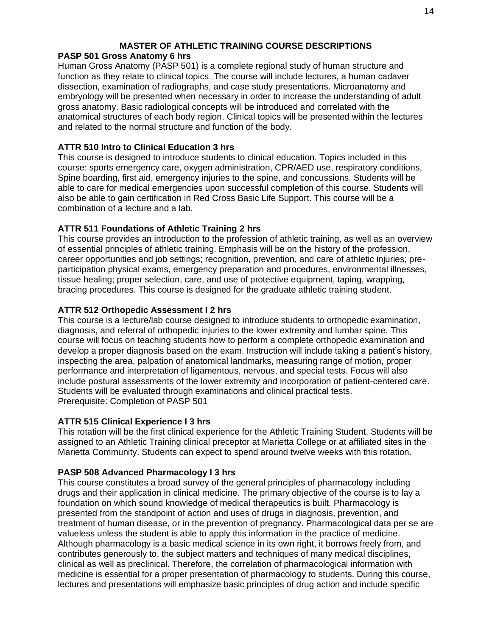## **MASTER OF ATHLETIC TRAINING COURSE DESCRIPTIONS**

## <span id="page-18-1"></span><span id="page-18-0"></span>**PASP 501 Gross Anatomy 6 hrs**

Human Gross Anatomy (PASP 501) is a complete regional study of human structure and function as they relate to clinical topics. The course will include lectures, a human cadaver dissection, examination of radiographs, and case study presentations. Microanatomy and embryology will be presented when necessary in order to increase the understanding of adult gross anatomy. Basic radiological concepts will be introduced and correlated with the anatomical structures of each body region. Clinical topics will be presented within the lectures and related to the normal structure and function of the body.

## <span id="page-18-2"></span>**ATTR 510 Intro to Clinical Education 3 hrs**

This course is designed to introduce students to clinical education. Topics included in this course: sports emergency care, oxygen administration, CPR/AED use, respiratory conditions, Spine boarding, first aid, emergency injuries to the spine, and concussions. Students will be able to care for medical emergencies upon successful completion of this course. Students will also be able to gain certification in Red Cross Basic Life Support. This course will be a combination of a lecture and a lab.

## <span id="page-18-3"></span>**ATTR 511 Foundations of Athletic Training 2 hrs**

This course provides an introduction to the profession of athletic training, as well as an overview of essential principles of athletic training. Emphasis will be on the history of the profession, career opportunities and job settings; recognition, prevention, and care of athletic injuries; preparticipation physical exams, emergency preparation and procedures, environmental illnesses, tissue healing; proper selection, care, and use of protective equipment, taping, wrapping, bracing procedures. This course is designed for the graduate athletic training student.

## <span id="page-18-4"></span>**ATTR 512 Orthopedic Assessment I 2 hrs**

This course is a lecture/lab course designed to introduce students to orthopedic examination, diagnosis, and referral of orthopedic injuries to the lower extremity and lumbar spine. This course will focus on teaching students how to perform a complete orthopedic examination and develop a proper diagnosis based on the exam. Instruction will include taking a patient's history, inspecting the area, palpation of anatomical landmarks, measuring range of motion, proper performance and interpretation of ligamentous, nervous, and special tests. Focus will also include postural assessments of the lower extremity and incorporation of patient-centered care. Students will be evaluated through examinations and clinical practical tests. Prerequisite: Completion of PASP 501

## <span id="page-18-5"></span>**ATTR 515 Clinical Experience I 3 hrs**

This rotation will be the first clinical experience for the Athletic Training Student. Students will be assigned to an Athletic Training clinical preceptor at Marietta College or at affiliated sites in the Marietta Community. Students can expect to spend around twelve weeks with this rotation.

## <span id="page-18-6"></span>**PASP 508 Advanced Pharmacology I 3 hrs**

This course constitutes a broad survey of the general principles of pharmacology including drugs and their application in clinical medicine. The primary objective of the course is to lay a foundation on which sound knowledge of medical therapeutics is built. Pharmacology is presented from the standpoint of action and uses of drugs in diagnosis, prevention, and treatment of human disease, or in the prevention of pregnancy. Pharmacological data per se are valueless unless the student is able to apply this information in the practice of medicine. Although pharmacology is a basic medical science in its own right, it borrows freely from, and contributes generously to, the subject matters and techniques of many medical disciplines, clinical as well as preclinical. Therefore, the correlation of pharmacological information with medicine is essential for a proper presentation of pharmacology to students. During this course, lectures and presentations will emphasize basic principles of drug action and include specific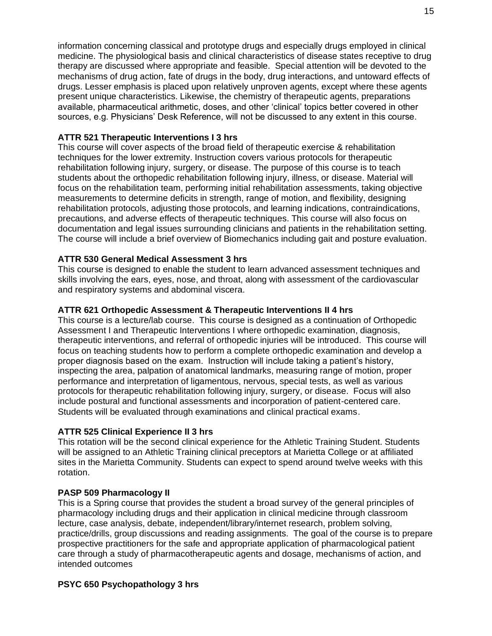information concerning classical and prototype drugs and especially drugs employed in clinical medicine. The physiological basis and clinical characteristics of disease states receptive to drug therapy are discussed where appropriate and feasible. Special attention will be devoted to the mechanisms of drug action, fate of drugs in the body, drug interactions, and untoward effects of drugs. Lesser emphasis is placed upon relatively unproven agents, except where these agents present unique characteristics. Likewise, the chemistry of therapeutic agents, preparations available, pharmaceutical arithmetic, doses, and other 'clinical' topics better covered in other sources, e.g. Physicians' Desk Reference, will not be discussed to any extent in this course.

#### <span id="page-19-0"></span>**ATTR 521 Therapeutic Interventions I 3 hrs**

This course will cover aspects of the broad field of therapeutic exercise & rehabilitation techniques for the lower extremity. Instruction covers various protocols for therapeutic rehabilitation following injury, surgery, or disease. The purpose of this course is to teach students about the orthopedic rehabilitation following injury, illness, or disease. Material will focus on the rehabilitation team, performing initial rehabilitation assessments, taking objective measurements to determine deficits in strength, range of motion, and flexibility, designing rehabilitation protocols, adjusting those protocols, and learning indications, contraindications, precautions, and adverse effects of therapeutic techniques. This course will also focus on documentation and legal issues surrounding clinicians and patients in the rehabilitation setting. The course will include a brief overview of Biomechanics including gait and posture evaluation.

#### <span id="page-19-1"></span>**ATTR 530 General Medical Assessment 3 hrs**

This course is designed to enable the student to learn advanced assessment techniques and skills involving the ears, eyes, nose, and throat, along with assessment of the cardiovascular and respiratory systems and abdominal viscera.

#### <span id="page-19-2"></span>**ATTR 621 Orthopedic Assessment & Therapeutic Interventions II 4 hrs**

This course is a lecture/lab course. This course is designed as a continuation of Orthopedic Assessment I and Therapeutic Interventions I where orthopedic examination, diagnosis, therapeutic interventions, and referral of orthopedic injuries will be introduced. This course will focus on teaching students how to perform a complete orthopedic examination and develop a proper diagnosis based on the exam. Instruction will include taking a patient's history, inspecting the area, palpation of anatomical landmarks, measuring range of motion, proper performance and interpretation of ligamentous, nervous, special tests, as well as various protocols for therapeutic rehabilitation following injury, surgery, or disease. Focus will also include postural and functional assessments and incorporation of patient-centered care. Students will be evaluated through examinations and clinical practical exams.

#### <span id="page-19-3"></span>**ATTR 525 Clinical Experience II 3 hrs**

This rotation will be the second clinical experience for the Athletic Training Student. Students will be assigned to an Athletic Training clinical preceptors at Marietta College or at affiliated sites in the Marietta Community. Students can expect to spend around twelve weeks with this rotation.

#### <span id="page-19-4"></span>**PASP 509 Pharmacology II**

This is a Spring course that provides the student a broad survey of the general principles of pharmacology including drugs and their application in clinical medicine through classroom lecture, case analysis, debate, independent/library/internet research, problem solving, practice/drills, group discussions and reading assignments. The goal of the course is to prepare prospective practitioners for the safe and appropriate application of pharmacological patient care through a study of pharmacotherapeutic agents and dosage, mechanisms of action, and intended outcomes

#### <span id="page-19-5"></span>**PSYC 650 Psychopathology 3 hrs**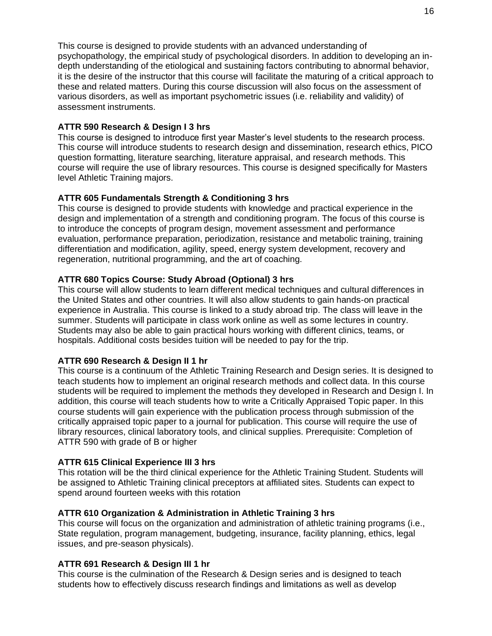This course is designed to provide students with an advanced understanding of psychopathology, the empirical study of psychological disorders. In addition to developing an indepth understanding of the etiological and sustaining factors contributing to abnormal behavior, it is the desire of the instructor that this course will facilitate the maturing of a critical approach to these and related matters. During this course discussion will also focus on the assessment of various disorders, as well as important psychometric issues (i.e. reliability and validity) of assessment instruments.

#### <span id="page-20-0"></span>**ATTR 590 Research & Design I 3 hrs**

This course is designed to introduce first year Master's level students to the research process. This course will introduce students to research design and dissemination, research ethics, PICO question formatting, literature searching, literature appraisal, and research methods. This course will require the use of library resources. This course is designed specifically for Masters level Athletic Training majors.

#### <span id="page-20-1"></span>**ATTR 605 Fundamentals Strength & Conditioning 3 hrs**

This course is designed to provide students with knowledge and practical experience in the design and implementation of a strength and conditioning program. The focus of this course is to introduce the concepts of program design, movement assessment and performance evaluation, performance preparation, periodization, resistance and metabolic training, training differentiation and modification, agility, speed, energy system development, recovery and regeneration, nutritional programming, and the art of coaching.

#### <span id="page-20-2"></span>**ATTR 680 Topics Course: Study Abroad (Optional) 3 hrs**

This course will allow students to learn different medical techniques and cultural differences in the United States and other countries. It will also allow students to gain hands-on practical experience in Australia. This course is linked to a study abroad trip. The class will leave in the summer. Students will participate in class work online as well as some lectures in country. Students may also be able to gain practical hours working with different clinics, teams, or hospitals. Additional costs besides tuition will be needed to pay for the trip.

#### <span id="page-20-3"></span>**ATTR 690 Research & Design II 1 hr**

This course is a continuum of the Athletic Training Research and Design series. It is designed to teach students how to implement an original research methods and collect data. In this course students will be required to implement the methods they developed in Research and Design I. In addition, this course will teach students how to write a Critically Appraised Topic paper. In this course students will gain experience with the publication process through submission of the critically appraised topic paper to a journal for publication. This course will require the use of library resources, clinical laboratory tools, and clinical supplies. Prerequisite: Completion of ATTR 590 with grade of B or higher

#### <span id="page-20-4"></span>**ATTR 615 Clinical Experience III 3 hrs**

This rotation will be the third clinical experience for the Athletic Training Student. Students will be assigned to Athletic Training clinical preceptors at affiliated sites. Students can expect to spend around fourteen weeks with this rotation

#### <span id="page-20-5"></span>**ATTR 610 Organization & Administration in Athletic Training 3 hrs**

This course will focus on the organization and administration of athletic training programs (i.e., State regulation, program management, budgeting, insurance, facility planning, ethics, legal issues, and pre-season physicals).

#### <span id="page-20-6"></span>**ATTR 691 Research & Design III 1 hr**

This course is the culmination of the Research & Design series and is designed to teach students how to effectively discuss research findings and limitations as well as develop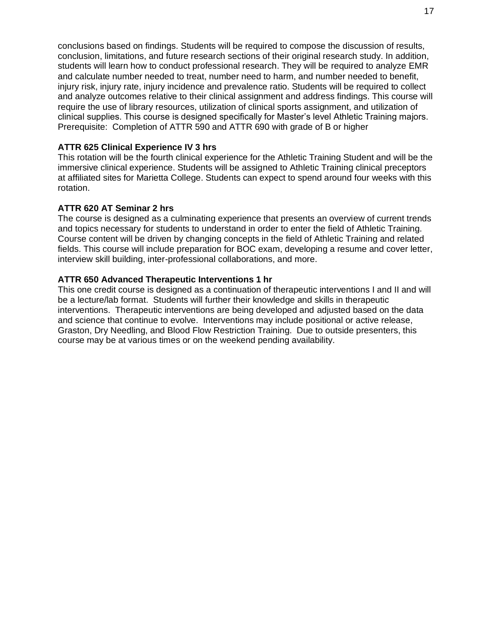conclusions based on findings. Students will be required to compose the discussion of results, conclusion, limitations, and future research sections of their original research study. In addition, students will learn how to conduct professional research. They will be required to analyze EMR and calculate number needed to treat, number need to harm, and number needed to benefit, injury risk, injury rate, injury incidence and prevalence ratio. Students will be required to collect and analyze outcomes relative to their clinical assignment and address findings. This course will require the use of library resources, utilization of clinical sports assignment, and utilization of clinical supplies. This course is designed specifically for Master's level Athletic Training majors. Prerequisite: Completion of ATTR 590 and ATTR 690 with grade of B or higher

#### <span id="page-21-0"></span>**ATTR 625 Clinical Experience IV 3 hrs**

This rotation will be the fourth clinical experience for the Athletic Training Student and will be the immersive clinical experience. Students will be assigned to Athletic Training clinical preceptors at affiliated sites for Marietta College. Students can expect to spend around four weeks with this rotation.

#### <span id="page-21-1"></span>**ATTR 620 AT Seminar 2 hrs**

The course is designed as a culminating experience that presents an overview of current trends and topics necessary for students to understand in order to enter the field of Athletic Training. Course content will be driven by changing concepts in the field of Athletic Training and related fields. This course will include preparation for BOC exam, developing a resume and cover letter, interview skill building, inter-professional collaborations, and more.

#### <span id="page-21-2"></span>**ATTR 650 Advanced Therapeutic Interventions 1 hr**

This one credit course is designed as a continuation of therapeutic interventions I and II and will be a lecture/lab format. Students will further their knowledge and skills in therapeutic interventions. Therapeutic interventions are being developed and adjusted based on the data and science that continue to evolve. Interventions may include positional or active release, Graston, Dry Needling, and Blood Flow Restriction Training. Due to outside presenters, this course may be at various times or on the weekend pending availability.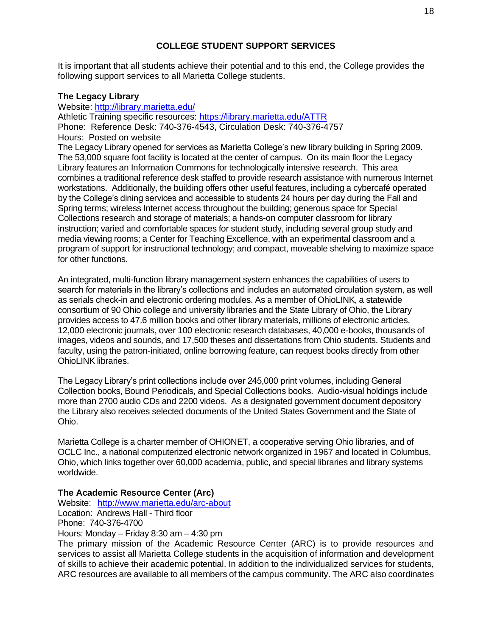#### **COLLEGE STUDENT SUPPORT SERVICES**

<span id="page-22-0"></span>It is important that all students achieve their potential and to this end, the College provides the following support services to all Marietta College students.

#### <span id="page-22-1"></span>**The Legacy Library**

Website:<http://library.marietta.edu/> Athletic Training specific resources:<https://library.marietta.edu/ATTR> Phone: Reference Desk: 740-376-4543, Circulation Desk: 740-376-4757 Hours: Posted on website The Legacy Library opened for services as Marietta College's new library building in Spring 2009. The 53,000 square foot facility is located at the center of campus. On its main floor the Legacy Library features an Information Commons for technologically intensive research. This area combines a traditional reference desk staffed to provide research assistance with numerous Internet workstations. Additionally, the building offers other useful features, including a cybercafé operated by the College's dining services and accessible to students 24 hours per day during the Fall and Spring terms; wireless Internet access throughout the building; generous space for Special Collections research and storage of materials; a hands-on computer classroom for library instruction; varied and comfortable spaces for student study, including several group study and media viewing rooms; a Center for Teaching Excellence, with an experimental classroom and a program of support for instructional technology; and compact, moveable shelving to maximize space for other functions.

An integrated, multi-function library management system enhances the capabilities of users to search for materials in the library's collections and includes an automated circulation system, as well as serials check-in and electronic ordering modules. As a member of OhioLINK, a statewide consortium of 90 Ohio college and university libraries and the State Library of Ohio, the Library provides access to 47.6 million books and other library materials, millions of electronic articles, 12,000 electronic journals, over 100 electronic research databases, 40,000 e-books, thousands of images, videos and sounds, and 17,500 theses and dissertations from Ohio students. Students and faculty, using the patron-initiated, online borrowing feature, can request books directly from other OhioLINK libraries.

The Legacy Library's print collections include over 245,000 print volumes, including General Collection books, Bound Periodicals, and Special Collections books. Audio-visual holdings include more than 2700 audio CDs and 2200 videos. As a designated government document depository the Library also receives selected documents of the United States Government and the State of Ohio.

Marietta College is a charter member of OHIONET, a cooperative serving Ohio libraries, and of OCLC Inc., a national computerized electronic network organized in 1967 and located in Columbus, Ohio, which links together over 60,000 academia, public, and special libraries and library systems worldwide.

#### <span id="page-22-2"></span>**The Academic Resource Center (Arc)**

Website: <http://www.marietta.edu/arc-about> Location: Andrews Hall - Third floor Phone: 740-376-4700 Hours: Monday – Friday 8:30 am – 4:30 pm

The primary mission of the Academic Resource Center (ARC) is to provide resources and services to assist all Marietta College students in the acquisition of information and development of skills to achieve their academic potential. In addition to the individualized services for students, ARC resources are available to all members of the campus community. The ARC also coordinates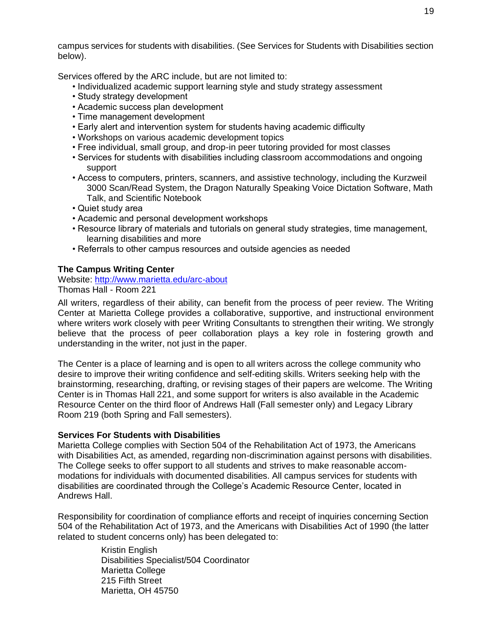campus services for students with disabilities. (See Services for Students with Disabilities section below).

Services offered by the ARC include, but are not limited to:

- Individualized academic support learning style and study strategy assessment
- Study strategy development
- Academic success plan development
- Time management development
- Early alert and intervention system for students having academic difficulty
- Workshops on various academic development topics
- Free individual, small group, and drop-in peer tutoring provided for most classes
- Services for students with disabilities including classroom accommodations and ongoing support
- Access to computers, printers, scanners, and assistive technology, including the Kurzweil 3000 Scan/Read System, the Dragon Naturally Speaking Voice Dictation Software, Math Talk, and Scientific Notebook
- Quiet study area
- Academic and personal development workshops
- Resource library of materials and tutorials on general study strategies, time management, learning disabilities and more
- Referrals to other campus resources and outside agencies as needed

#### <span id="page-23-0"></span>**The Campus Writing Center**

Website:<http://www.marietta.edu/arc-about>

#### Thomas Hall - Room 221

All writers, regardless of their ability, can benefit from the process of peer review. The Writing Center at Marietta College provides a collaborative, supportive, and instructional environment where writers work closely with peer Writing Consultants to strengthen their writing. We strongly believe that the process of peer collaboration plays a key role in fostering growth and understanding in the writer, not just in the paper.

The Center is a place of learning and is open to all writers across the college community who desire to improve their writing confidence and self-editing skills. Writers seeking help with the brainstorming, researching, drafting, or revising stages of their papers are welcome. The Writing Center is in Thomas Hall 221, and some support for writers is also available in the Academic Resource Center on the third floor of Andrews Hall (Fall semester only) and Legacy Library Room 219 (both Spring and Fall semesters).

#### <span id="page-23-1"></span>**Services For Students with Disabilities**

Marietta College complies with Section 504 of the Rehabilitation Act of 1973, the Americans with Disabilities Act, as amended, regarding non-discrimination against persons with disabilities. The College seeks to offer support to all students and strives to make reasonable accommodations for individuals with documented disabilities. All campus services for students with disabilities are coordinated through the College's Academic Resource Center, located in Andrews Hall.

Responsibility for coordination of compliance efforts and receipt of inquiries concerning Section 504 of the Rehabilitation Act of 1973, and the Americans with Disabilities Act of 1990 (the latter related to student concerns only) has been delegated to:

> Kristin English Disabilities Specialist/504 Coordinator Marietta College 215 Fifth Street Marietta, OH 45750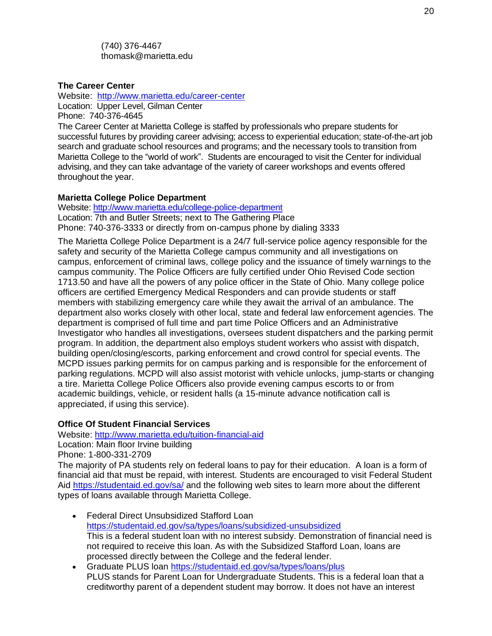(740) 376-4467 thomask@marietta.edu

#### <span id="page-24-0"></span>**The Career Center**

Website: <http://www.marietta.edu/career-center> Location: Upper Level, Gilman Center Phone: 740-376-4645

The Career Center at Marietta College is staffed by professionals who prepare students for successful futures by providing career advising; access to experiential education; state-of-the-art job search and graduate school resources and programs; and the necessary tools to transition from Marietta College to the "world of work". Students are encouraged to visit the Center for individual advising, and they can take advantage of the variety of career workshops and events offered throughout the year.

#### <span id="page-24-1"></span>**Marietta College Police Department**

Website:<http://www.marietta.edu/college-police-department> Location: 7th and Butler Streets; next to The Gathering Place Phone: 740-376-3333 or directly from on-campus phone by dialing 3333

The Marietta College Police Department is a 24/7 full-service police agency responsible for the safety and security of the Marietta College campus community and all investigations on campus, enforcement of criminal laws, college policy and the issuance of timely warnings to the campus community. The Police Officers are fully certified under Ohio Revised Code section 1713.50 and have all the powers of any police officer in the State of Ohio. Many college police officers are certified Emergency Medical Responders and can provide students or staff members with stabilizing emergency care while they await the arrival of an ambulance. The department also works closely with other local, state and federal law enforcement agencies. The department is comprised of full time and part time Police Officers and an Administrative Investigator who handles all investigations, oversees student dispatchers and the parking permit program. In addition, the department also employs student workers who assist with dispatch, building open/closing/escorts, parking enforcement and crowd control for special events. The MCPD issues parking permits for on campus parking and is responsible for the enforcement of parking regulations. MCPD will also assist motorist with vehicle unlocks, jump-starts or changing a tire. Marietta College Police Officers also provide evening campus escorts to or from academic buildings, vehicle, or resident halls (a 15-minute advance notification call is appreciated, if using this service).

#### <span id="page-24-2"></span>**Office Of Student Financial Services**

Website:<http://www.marietta.edu/tuition-financial-aid>

Location: Main floor Irvine building

Phone: 1-800-331-2709

The majority of PA students rely on federal loans to pay for their education. A loan is a form of financial aid that must be repaid, with interest. Students are encouraged to visit Federal Student Aid<https://studentaid.ed.gov/sa/> and the following web sites to learn more about the different types of loans available through Marietta College.

- Federal Direct Unsubsidized Stafford Loan <https://studentaid.ed.gov/sa/types/loans/subsidized-unsubsidized> This is a federal student loan with no interest subsidy. Demonstration of financial need is not required to receive this loan. As with the Subsidized Stafford Loan, loans are processed directly between the College and the federal lender.
- Graduate PLUS loan <https://studentaid.ed.gov/sa/types/loans/plus> PLUS stands for Parent Loan for Undergraduate Students. This is a federal loan that a creditworthy parent of a dependent student may borrow. It does not have an interest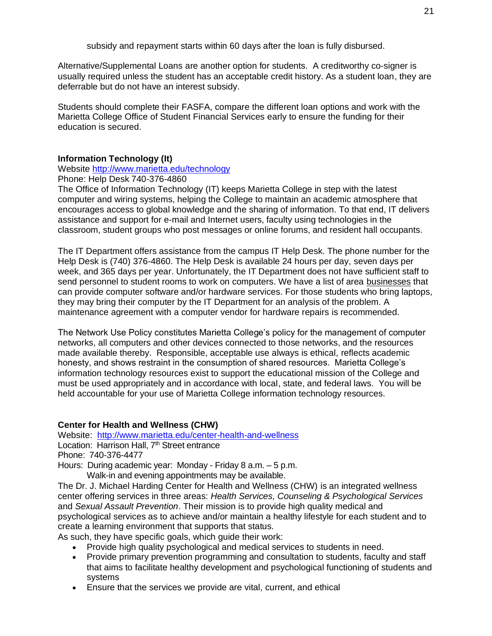subsidy and repayment starts within 60 days after the loan is fully disbursed.

Alternative/Supplemental Loans are another option for students. A creditworthy co-signer is usually required unless the student has an acceptable credit history. As a student loan, they are deferrable but do not have an interest subsidy.

Students should complete their FASFA, compare the different loan options and work with the Marietta College Office of Student Financial Services early to ensure the funding for their education is secured.

#### <span id="page-25-0"></span>**Information Technology (It)**

Website<http://www.marietta.edu/technology>

Phone: Help Desk 740-376-4860

The Office of Information Technology (IT) keeps Marietta College in step with the latest computer and wiring systems, helping the College to maintain an academic atmosphere that encourages access to global knowledge and the sharing of information. To that end, IT delivers assistance and support for e-mail and Internet users, faculty using technologies in the classroom, student groups who post messages or online forums, and resident hall occupants.

The IT Department offers assistance from the campus IT Help Desk. The phone number for the Help Desk is (740) 376-4860. The Help Desk is available 24 hours per day, seven days per week, and 365 days per year. Unfortunately, the IT Department does not have sufficient staff to send personnel to student rooms to work on computers. We have a list of area [businesses](https://help.marietta.edu/repairs) that can provide computer software and/or hardware services. For those students who bring laptops, they may bring their computer by the IT Department for an analysis of the problem. A maintenance agreement with a computer vendor for hardware repairs is recommended.

The Network Use Policy constitutes Marietta College's policy for the management of computer networks, all computers and other devices connected to those networks, and the resources made available thereby. Responsible, acceptable use always is ethical, reflects academic honesty, and shows restraint in the consumption of shared resources. Marietta College's information technology resources exist to support the educational mission of the College and must be used appropriately and in accordance with local, state, and federal laws. You will be held accountable for your use of Marietta College information technology resources.

#### <span id="page-25-1"></span>**Center for Health and Wellness (CHW)**

Website: <http://www.marietta.edu/center-health-and-wellness>

Location: Harrison Hall, 7<sup>th</sup> Street entrance

Phone: 740-376-4477

Hours: During academic year: Monday - Friday 8 a.m. – 5 p.m. Walk-in and evening appointments may be available.

The Dr. J. Michael Harding Center for Health and Wellness (CHW) is an integrated wellness center offering services in three areas: *Health Services, Counseling & Psychological Services* and *Sexual Assault Prevention*. Their mission is to provide high quality medical and psychological services as to achieve and/or maintain a healthy lifestyle for each student and to create a learning environment that supports that status.

As such, they have specific goals, which guide their work:

- Provide high quality psychological and medical services to students in need.
- Provide primary prevention programming and consultation to students, faculty and staff that aims to facilitate healthy development and psychological functioning of students and systems
- Ensure that the services we provide are vital, current, and ethical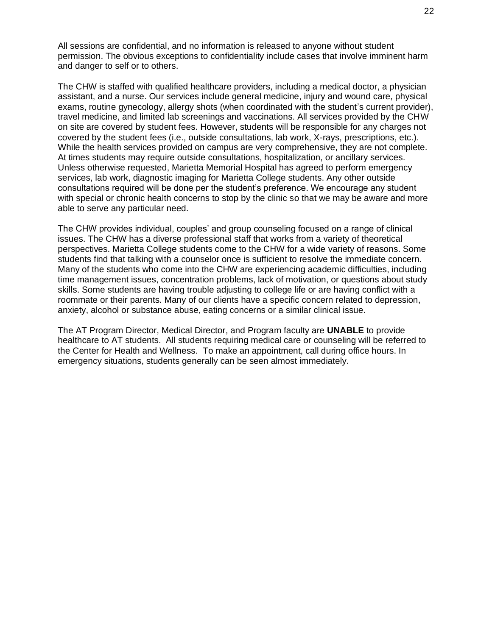All sessions are confidential, and no information is released to anyone without student permission. The obvious exceptions to confidentiality include cases that involve imminent harm and danger to self or to others.

The CHW is staffed with qualified healthcare providers, including a medical doctor, a physician assistant, and a nurse. Our services include general medicine, injury and wound care, physical exams, routine gynecology, allergy shots (when coordinated with the student's current provider), travel medicine, and limited lab screenings and vaccinations. All services provided by the CHW on site are covered by student fees. However, students will be responsible for any charges not covered by the student fees (i.e., outside consultations, lab work, X-rays, prescriptions, etc.). While the health services provided on campus are very comprehensive, they are not complete. At times students may require outside consultations, hospitalization, or ancillary services. Unless otherwise requested, Marietta Memorial Hospital has agreed to perform emergency services, lab work, diagnostic imaging for Marietta College students. Any other outside consultations required will be done per the student's preference. We encourage any student with special or chronic health concerns to stop by the clinic so that we may be aware and more able to serve any particular need.

The CHW provides individual, couples' and group counseling focused on a range of clinical issues. The CHW has a diverse professional staff that works from a variety of theoretical perspectives. Marietta College students come to the CHW for a wide variety of reasons. Some students find that talking with a counselor once is sufficient to resolve the immediate concern. Many of the students who come into the CHW are experiencing academic difficulties, including time management issues, concentration problems, lack of motivation, or questions about study skills. Some students are having trouble adjusting to college life or are having conflict with a roommate or their parents. Many of our clients have a specific concern related to depression, anxiety, alcohol or substance abuse, eating concerns or a similar clinical issue.

The AT Program Director, Medical Director, and Program faculty are **UNABLE** to provide healthcare to AT students. All students requiring medical care or counseling will be referred to the Center for Health and Wellness. To make an appointment, call during office hours. In emergency situations, students generally can be seen almost immediately.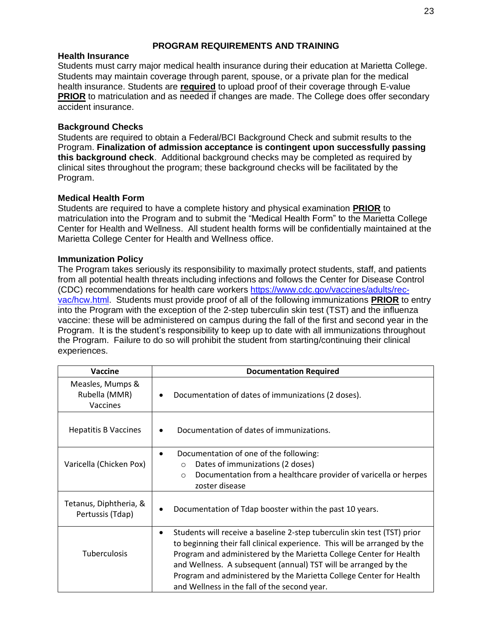#### **PROGRAM REQUIREMENTS AND TRAINING**

#### <span id="page-27-1"></span><span id="page-27-0"></span>**Health Insurance**

Students must carry major medical health insurance during their education at Marietta College. Students may maintain coverage through parent, spouse, or a private plan for the medical health insurance. Students are **required** to upload proof of their coverage through E-value **PRIOR** to matriculation and as needed if changes are made. The College does offer secondary accident insurance.

#### <span id="page-27-2"></span>**Background Checks**

Students are required to obtain a Federal/BCI Background Check and submit results to the Program. **Finalization of admission acceptance is contingent upon successfully passing this background check**. Additional background checks may be completed as required by clinical sites throughout the program; these background checks will be facilitated by the Program.

#### <span id="page-27-3"></span>**Medical Health Form**

Students are required to have a complete history and physical examination **PRIOR** to matriculation into the Program and to submit the "Medical Health Form" to the Marietta College Center for Health and Wellness. All student health forms will be confidentially maintained at the Marietta College Center for Health and Wellness office.

#### <span id="page-27-4"></span>**Immunization Policy**

The Program takes seriously its responsibility to maximally protect students, staff, and patients from all potential health threats including infections and follows the Center for Disease Control (CDC) recommendations for health care workers [https://www.cdc.gov/vaccines/adults/rec](https://www.cdc.gov/vaccines/adults/rec-vac/hcw.html)[vac/hcw.html.](https://www.cdc.gov/vaccines/adults/rec-vac/hcw.html) Students must provide proof of all of the following immunizations **PRIOR** to entry into the Program with the exception of the 2-step tuberculin skin test (TST) and the influenza vaccine: these will be administered on campus during the fall of the first and second year in the Program. It is the student's responsibility to keep up to date with all immunizations throughout the Program. Failure to do so will prohibit the student from starting/continuing their clinical experiences.

| Vaccine                                       | <b>Documentation Required</b>                                                                                                                                                                                                                                                                                                                                                                                                     |  |
|-----------------------------------------------|-----------------------------------------------------------------------------------------------------------------------------------------------------------------------------------------------------------------------------------------------------------------------------------------------------------------------------------------------------------------------------------------------------------------------------------|--|
| Measles, Mumps &<br>Rubella (MMR)<br>Vaccines | Documentation of dates of immunizations (2 doses).<br>٠                                                                                                                                                                                                                                                                                                                                                                           |  |
| <b>Hepatitis B Vaccines</b>                   | Documentation of dates of immunizations.<br>$\bullet$                                                                                                                                                                                                                                                                                                                                                                             |  |
|                                               | Documentation of one of the following:<br>$\bullet$                                                                                                                                                                                                                                                                                                                                                                               |  |
| Varicella (Chicken Pox)                       | Dates of immunizations (2 doses)<br>$\Omega$                                                                                                                                                                                                                                                                                                                                                                                      |  |
|                                               | Documentation from a healthcare provider of varicella or herpes<br>$\circ$                                                                                                                                                                                                                                                                                                                                                        |  |
|                                               | zoster disease                                                                                                                                                                                                                                                                                                                                                                                                                    |  |
| Tetanus, Diphtheria, &<br>Pertussis (Tdap)    | Documentation of Tdap booster within the past 10 years.<br>٠                                                                                                                                                                                                                                                                                                                                                                      |  |
| <b>Tuberculosis</b>                           | Students will receive a baseline 2-step tuberculin skin test (TST) prior<br>$\bullet$<br>to beginning their fall clinical experience. This will be arranged by the<br>Program and administered by the Marietta College Center for Health<br>and Wellness. A subsequent (annual) TST will be arranged by the<br>Program and administered by the Marietta College Center for Health<br>and Wellness in the fall of the second year. |  |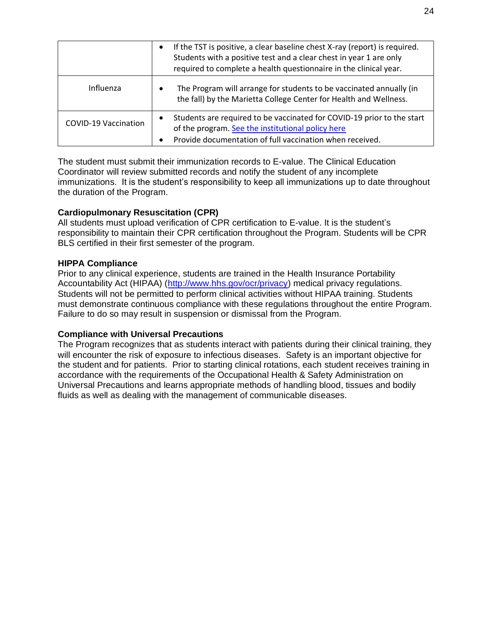|                             | If the TST is positive, a clear baseline chest X-ray (report) is required.<br>$\bullet$<br>Students with a positive test and a clear chest in year 1 are only<br>required to complete a health questionnaire in the clinical year. |
|-----------------------------|------------------------------------------------------------------------------------------------------------------------------------------------------------------------------------------------------------------------------------|
| Influenza                   | The Program will arrange for students to be vaccinated annually (in<br>$\bullet$<br>the fall) by the Marietta College Center for Health and Wellness.                                                                              |
| <b>COVID-19 Vaccination</b> | Students are required to be vaccinated for COVID-19 prior to the start<br>$\bullet$<br>of the program. See the institutional policy here<br>Provide documentation of full vaccination when received.<br>$\bullet$                  |

The student must submit their immunization records to E-value. The Clinical Education Coordinator will review submitted records and notify the student of any incomplete immunizations. It is the student's responsibility to keep all immunizations up to date throughout the duration of the Program.

#### <span id="page-28-0"></span>**Cardiopulmonary Resuscitation (CPR)**

All students must upload verification of CPR certification to E-value. It is the student's responsibility to maintain their CPR certification throughout the Program. Students will be CPR BLS certified in their first semester of the program.

#### <span id="page-28-1"></span>**HIPPA Compliance**

Prior to any clinical experience, students are trained in the Health Insurance Portability Accountability Act (HIPAA) [\(http://www.hhs.gov/ocr/privacy\)](http://www.hhs.gov/ocr/privacy) medical privacy regulations. Students will not be permitted to perform clinical activities without HIPAA training. Students must demonstrate continuous compliance with these regulations throughout the entire Program. Failure to do so may result in suspension or dismissal from the Program.

#### <span id="page-28-2"></span>**Compliance with Universal Precautions**

The Program recognizes that as students interact with patients during their clinical training, they will encounter the risk of exposure to infectious diseases. Safety is an important objective for the student and for patients. Prior to starting clinical rotations, each student receives training in accordance with the requirements of the Occupational Health & Safety Administration on Universal Precautions and learns appropriate methods of handling blood, tissues and bodily fluids as well as dealing with the management of communicable diseases.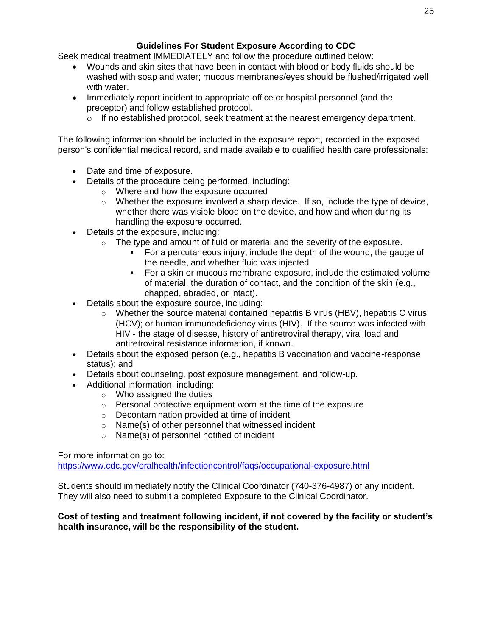## **Guidelines For Student Exposure According to CDC**

<span id="page-29-0"></span>Seek medical treatment IMMEDIATELY and follow the procedure outlined below:

- Wounds and skin sites that have been in contact with blood or body fluids should be washed with soap and water; mucous membranes/eyes should be flushed/irrigated well with water.
- Immediately report incident to appropriate office or hospital personnel (and the preceptor) and follow established protocol.
	- $\circ$  If no established protocol, seek treatment at the nearest emergency department.

The following information should be included in the exposure report, recorded in the exposed person's confidential medical record, and made available to qualified health care professionals:

- Date and time of exposure.
- Details of the procedure being performed, including:
	- o Where and how the exposure occurred
	- $\circ$  Whether the exposure involved a sharp device. If so, include the type of device, whether there was visible blood on the device, and how and when during its handling the exposure occurred.
- Details of the exposure, including:
	- $\circ$  The type and amount of fluid or material and the severity of the exposure.
		- For a percutaneous injury, include the depth of the wound, the gauge of the needle, and whether fluid was injected
		- For a skin or mucous membrane exposure, include the estimated volume of material, the duration of contact, and the condition of the skin (e.g., chapped, abraded, or intact).
- Details about the exposure source, including:
	- $\circ$  Whether the source material contained hepatitis B virus (HBV), hepatitis C virus (HCV); or human immunodeficiency virus (HIV). If the source was infected with HIV - the stage of disease, history of antiretroviral therapy, viral load and antiretroviral resistance information, if known.
- Details about the exposed person (e.g., hepatitis B vaccination and vaccine-response status); and
- Details about counseling, post exposure management, and follow-up.
- Additional information, including:
	- o Who assigned the duties
	- o Personal protective equipment worn at the time of the exposure
	- o Decontamination provided at time of incident
	- o Name(s) of other personnel that witnessed incident
	- o Name(s) of personnel notified of incident

For more information go to:

<https://www.cdc.gov/oralhealth/infectioncontrol/faqs/occupational-exposure.html>

Students should immediately notify the Clinical Coordinator (740-376-4987) of any incident. They will also need to submit a completed Exposure to the Clinical Coordinator.

#### **Cost of testing and treatment following incident, if not covered by the facility or student's health insurance, will be the responsibility of the student.**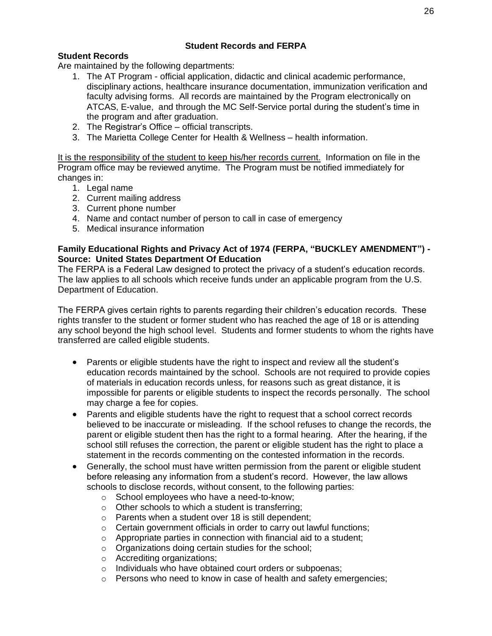## **Student Records and FERPA**

## <span id="page-30-1"></span><span id="page-30-0"></span>**Student Records**

Are maintained by the following departments:

- 1. The AT Program official application, didactic and clinical academic performance, disciplinary actions, healthcare insurance documentation, immunization verification and faculty advising forms. All records are maintained by the Program electronically on ATCAS, E-value, and through the MC Self-Service portal during the student's time in the program and after graduation.
- 2. The Registrar's Office official transcripts.
- 3. The Marietta College Center for Health & Wellness health information.

It is the responsibility of the student to keep his/her records current. Information on file in the Program office may be reviewed anytime. The Program must be notified immediately for changes in:

- 1. Legal name
- 2. Current mailing address
- 3. Current phone number
- 4. Name and contact number of person to call in case of emergency
- 5. Medical insurance information

#### <span id="page-30-2"></span>**Family Educational Rights and Privacy Act of 1974 (FERPA, "BUCKLEY AMENDMENT") - Source: United States Department Of Education**

The FERPA is a Federal Law designed to protect the privacy of a student's education records. The law applies to all schools which receive funds under an applicable program from the U.S. Department of Education.

The FERPA gives certain rights to parents regarding their children's education records. These rights transfer to the student or former student who has reached the age of 18 or is attending any school beyond the high school level. Students and former students to whom the rights have transferred are called eligible students.

- Parents or eligible students have the right to inspect and review all the student's education records maintained by the school. Schools are not required to provide copies of materials in education records unless, for reasons such as great distance, it is impossible for parents or eligible students to inspect the records personally. The school may charge a fee for copies.
- Parents and eligible students have the right to request that a school correct records believed to be inaccurate or misleading. If the school refuses to change the records, the parent or eligible student then has the right to a formal hearing. After the hearing, if the school still refuses the correction, the parent or eligible student has the right to place a statement in the records commenting on the contested information in the records.
- Generally, the school must have written permission from the parent or eligible student before releasing any information from a student's record. However, the law allows schools to disclose records, without consent, to the following parties:
	- o School employees who have a need-to-know;
	- o Other schools to which a student is transferring;
	- o Parents when a student over 18 is still dependent;
	- o Certain government officials in order to carry out lawful functions;
	- $\circ$  Appropriate parties in connection with financial aid to a student;
	- o Organizations doing certain studies for the school;
	- o Accrediting organizations;
	- o Individuals who have obtained court orders or subpoenas;
	- o Persons who need to know in case of health and safety emergencies;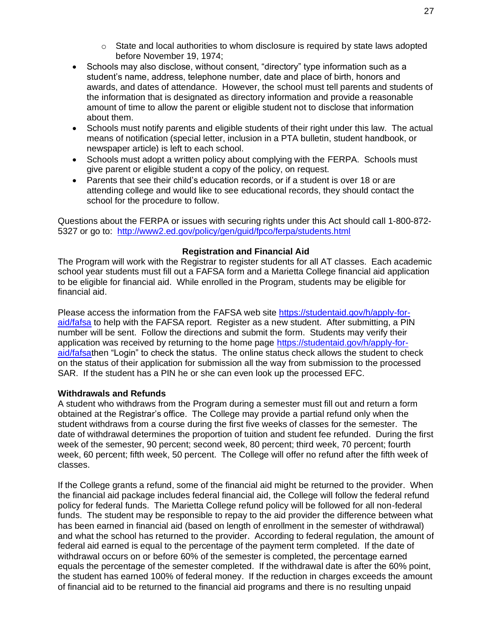- $\circ$  State and local authorities to whom disclosure is required by state laws adopted before November 19, 1974;
- Schools may also disclose, without consent, "directory" type information such as a student's name, address, telephone number, date and place of birth, honors and awards, and dates of attendance. However, the school must tell parents and students of the information that is designated as directory information and provide a reasonable amount of time to allow the parent or eligible student not to disclose that information about them.
- Schools must notify parents and eligible students of their right under this law. The actual means of notification (special letter, inclusion in a PTA bulletin, student handbook, or newspaper article) is left to each school.
- Schools must adopt a written policy about complying with the FERPA. Schools must give parent or eligible student a copy of the policy, on request.
- Parents that see their child's education records, or if a student is over 18 or are attending college and would like to see educational records, they should contact the school for the procedure to follow.

Questions about the FERPA or issues with securing rights under this Act should call 1-800-872- 5327 or go to: <http://www2.ed.gov/policy/gen/guid/fpco/ferpa/students.html>

#### **Registration and Financial Aid**

<span id="page-31-0"></span>The Program will work with the Registrar to register students for all AT classes. Each academic school year students must fill out a FAFSA form and a Marietta College financial aid application to be eligible for financial aid. While enrolled in the Program, students may be eligible for financial aid.

Please access the information from the FAFSA web site [https://studentaid.gov/h/apply-for](https://studentaid.gov/h/apply-for-aid/fafsa)[aid/fafsa](https://studentaid.gov/h/apply-for-aid/fafsa) to help with the FAFSA report. Register as a new student. After submitting, a PIN number will be sent. Follow the directions and submit the form. Students may verify their application was received by returning to the home page [https://studentaid.gov/h/apply-for](https://studentaid.gov/h/apply-for-aid/fafsa)[aid/fafsat](https://studentaid.gov/h/apply-for-aid/fafsa)hen "Login" to check the status. The online status check allows the student to check on the status of their application for submission all the way from submission to the processed SAR. If the student has a PIN he or she can even look up the processed EFC.

#### <span id="page-31-1"></span>**Withdrawals and Refunds**

A student who withdraws from the Program during a semester must fill out and return a form obtained at the Registrar's office. The College may provide a partial refund only when the student withdraws from a course during the first five weeks of classes for the semester. The date of withdrawal determines the proportion of tuition and student fee refunded. During the first week of the semester, 90 percent; second week, 80 percent; third week, 70 percent; fourth week, 60 percent; fifth week, 50 percent. The College will offer no refund after the fifth week of classes.

If the College grants a refund, some of the financial aid might be returned to the provider. When the financial aid package includes federal financial aid, the College will follow the federal refund policy for federal funds. The Marietta College refund policy will be followed for all non-federal funds. The student may be responsible to repay to the aid provider the difference between what has been earned in financial aid (based on length of enrollment in the semester of withdrawal) and what the school has returned to the provider. According to federal regulation, the amount of federal aid earned is equal to the percentage of the payment term completed. If the date of withdrawal occurs on or before 60% of the semester is completed, the percentage earned equals the percentage of the semester completed. If the withdrawal date is after the 60% point, the student has earned 100% of federal money. If the reduction in charges exceeds the amount of financial aid to be returned to the financial aid programs and there is no resulting unpaid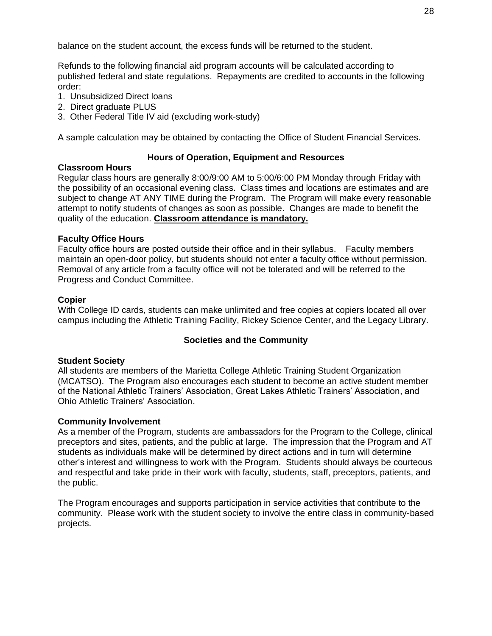balance on the student account, the excess funds will be returned to the student.

Refunds to the following financial aid program accounts will be calculated according to published federal and state regulations. Repayments are credited to accounts in the following order:

- 1. Unsubsidized Direct loans
- 2. Direct graduate PLUS
- 3. Other Federal Title IV aid (excluding work-study)

A sample calculation may be obtained by contacting the Office of Student Financial Services.

#### **Hours of Operation, Equipment and Resources**

#### <span id="page-32-1"></span><span id="page-32-0"></span>**Classroom Hours**

Regular class hours are generally 8:00/9:00 AM to 5:00/6:00 PM Monday through Friday with the possibility of an occasional evening class. Class times and locations are estimates and are subject to change AT ANY TIME during the Program. The Program will make every reasonable attempt to notify students of changes as soon as possible. Changes are made to benefit the quality of the education. **Classroom attendance is mandatory.**

#### <span id="page-32-2"></span>**Faculty Office Hours**

Faculty office hours are posted outside their office and in their syllabus. Faculty members maintain an open-door policy, but students should not enter a faculty office without permission. Removal of any article from a faculty office will not be tolerated and will be referred to the Progress and Conduct Committee.

#### <span id="page-32-3"></span>**Copier**

With College ID cards, students can make unlimited and free copies at copiers located all over campus including the Athletic Training Facility, Rickey Science Center, and the Legacy Library.

#### **Societies and the Community**

#### <span id="page-32-5"></span><span id="page-32-4"></span>**Student Society**

All students are members of the Marietta College Athletic Training Student Organization (MCATSO). The Program also encourages each student to become an active student member of the National Athletic Trainers' Association, Great Lakes Athletic Trainers' Association, and Ohio Athletic Trainers' Association.

#### <span id="page-32-6"></span>**Community Involvement**

As a member of the Program, students are ambassadors for the Program to the College, clinical preceptors and sites, patients, and the public at large. The impression that the Program and AT students as individuals make will be determined by direct actions and in turn will determine other's interest and willingness to work with the Program. Students should always be courteous and respectful and take pride in their work with faculty, students, staff, preceptors, patients, and the public.

The Program encourages and supports participation in service activities that contribute to the community. Please work with the student society to involve the entire class in community-based projects.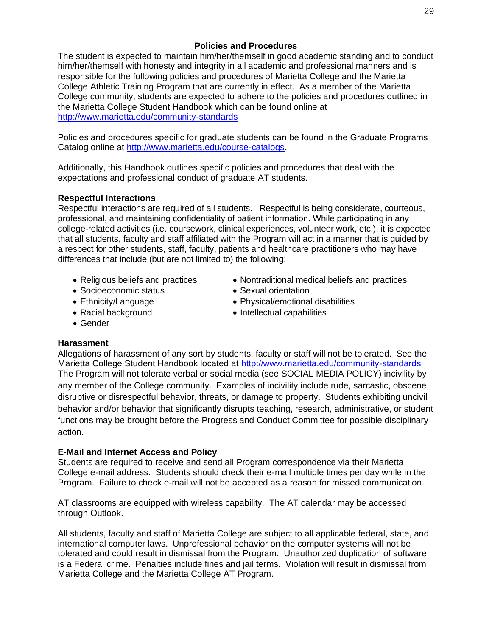#### **Policies and Procedures**

<span id="page-33-0"></span>The student is expected to maintain him/her/themself in good academic standing and to conduct him/her/themself with honesty and integrity in all academic and professional manners and is responsible for the following policies and procedures of Marietta College and the Marietta College Athletic Training Program that are currently in effect. As a member of the Marietta College community, students are expected to adhere to the policies and procedures outlined in the Marietta College Student Handbook which can be found online at <http://www.marietta.edu/community-standards>

Policies and procedures specific for graduate students can be found in the Graduate Programs Catalog online at [http://www.marietta.edu/course-catalogs.](http://www.marietta.edu/course-catalogs)

Additionally, this Handbook outlines specific policies and procedures that deal with the expectations and professional conduct of graduate AT students.

#### <span id="page-33-1"></span>**Respectful Interactions**

Respectful interactions are required of all students. Respectful is being considerate, courteous, professional, and maintaining confidentiality of patient information. While participating in any college-related activities (i.e. coursework, clinical experiences, volunteer work, etc.), it is expected that all students, faculty and staff affiliated with the Program will act in a manner that is guided by a respect for other students, staff, faculty, patients and healthcare practitioners who may have differences that include (but are not limited to) the following:

- Religious beliefs and practices
- Socioeconomic status
- Ethnicity/Language
- Racial background
- Nontraditional medical beliefs and practices
- Sexual orientation
- Physical/emotional disabilities
- Intellectual capabilities

• Gender

#### <span id="page-33-2"></span>**Harassment**

Allegations of harassment of any sort by students, faculty or staff will not be tolerated. See the Marietta College Student Handbook located at<http://www.marietta.edu/community-standards> The Program will not tolerate verbal or social media (see SOCIAL MEDIA POLICY) incivility by any member of the College community. Examples of incivility include rude, sarcastic, obscene, disruptive or disrespectful behavior, threats, or damage to property. Students exhibiting uncivil behavior and/or behavior that significantly disrupts teaching, research, administrative, or student functions may be brought before the Progress and Conduct Committee for possible disciplinary action.

#### <span id="page-33-3"></span>**E-Mail and Internet Access and Policy**

Students are required to receive and send all Program correspondence via their Marietta College e-mail address. Students should check their e-mail multiple times per day while in the Program. Failure to check e-mail will not be accepted as a reason for missed communication.

AT classrooms are equipped with wireless capability. The AT calendar may be accessed through Outlook.

All students, faculty and staff of Marietta College are subject to all applicable federal, state, and international computer laws. Unprofessional behavior on the computer systems will not be tolerated and could result in dismissal from the Program. Unauthorized duplication of software is a Federal crime. Penalties include fines and jail terms. Violation will result in dismissal from Marietta College and the Marietta College AT Program.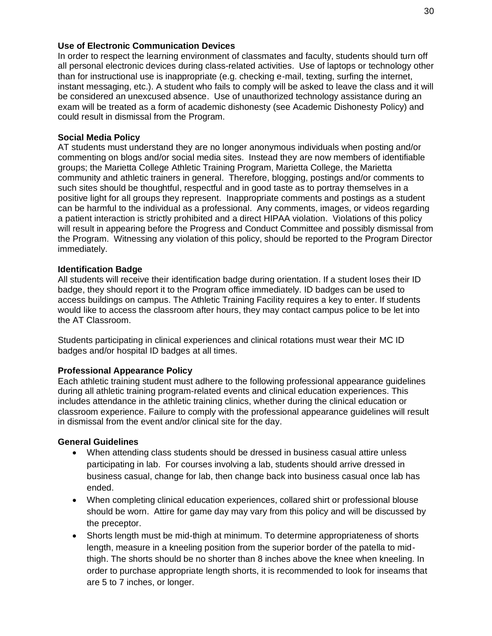#### <span id="page-34-0"></span>**Use of Electronic Communication Devices**

In order to respect the learning environment of classmates and faculty, students should turn off all personal electronic devices during class-related activities. Use of laptops or technology other than for instructional use is inappropriate (e.g. checking e-mail, texting, surfing the internet, instant messaging, etc.). A student who fails to comply will be asked to leave the class and it will be considered an unexcused absence. Use of unauthorized technology assistance during an exam will be treated as a form of academic dishonesty (see Academic Dishonesty Policy) and could result in dismissal from the Program.

#### <span id="page-34-1"></span>**Social Media Policy**

AT students must understand they are no longer anonymous individuals when posting and/or commenting on blogs and/or social media sites. Instead they are now members of identifiable groups; the Marietta College Athletic Training Program, Marietta College, the Marietta community and athletic trainers in general. Therefore, blogging, postings and/or comments to such sites should be thoughtful, respectful and in good taste as to portray themselves in a positive light for all groups they represent. Inappropriate comments and postings as a student can be harmful to the individual as a professional. Any comments, images, or videos regarding a patient interaction is strictly prohibited and a direct HIPAA violation. Violations of this policy will result in appearing before the Progress and Conduct Committee and possibly dismissal from the Program. Witnessing any violation of this policy, should be reported to the Program Director immediately.

#### <span id="page-34-2"></span>**Identification Badge**

All students will receive their identification badge during orientation. If a student loses their ID badge, they should report it to the Program office immediately. ID badges can be used to access buildings on campus. The Athletic Training Facility requires a key to enter. If students would like to access the classroom after hours, they may contact campus police to be let into the AT Classroom.

Students participating in clinical experiences and clinical rotations must wear their MC ID badges and/or hospital ID badges at all times.

#### <span id="page-34-3"></span>**Professional Appearance Policy**

Each athletic training student must adhere to the following professional appearance guidelines during all athletic training program-related events and clinical education experiences. This includes attendance in the athletic training clinics, whether during the clinical education or classroom experience. Failure to comply with the professional appearance guidelines will result in dismissal from the event and/or clinical site for the day.

#### **General Guidelines**

- When attending class students should be dressed in business casual attire unless participating in lab. For courses involving a lab, students should arrive dressed in business casual, change for lab, then change back into business casual once lab has ended.
- When completing clinical education experiences, collared shirt or professional blouse should be worn. Attire for game day may vary from this policy and will be discussed by the preceptor.
- Shorts length must be mid-thigh at minimum. To determine appropriateness of shorts length, measure in a kneeling position from the superior border of the patella to midthigh. The shorts should be no shorter than 8 inches above the knee when kneeling. In order to purchase appropriate length shorts, it is recommended to look for inseams that are 5 to 7 inches, or longer.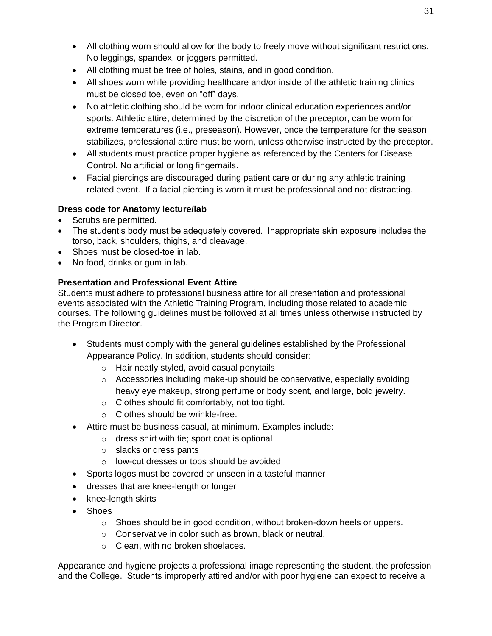- All clothing worn should allow for the body to freely move without significant restrictions. No leggings, spandex, or joggers permitted.
- All clothing must be free of holes, stains, and in good condition.
- All shoes worn while providing healthcare and/or inside of the athletic training clinics must be closed toe, even on "off" days.
- No athletic clothing should be worn for indoor clinical education experiences and/or sports. Athletic attire, determined by the discretion of the preceptor, can be worn for extreme temperatures (i.e., preseason). However, once the temperature for the season stabilizes, professional attire must be worn, unless otherwise instructed by the preceptor.
- All students must practice proper hygiene as referenced by the Centers for Disease Control. No artificial or long fingernails.
- Facial piercings are discouraged during patient care or during any athletic training related event. If a facial piercing is worn it must be professional and not distracting.

## **Dress code for Anatomy lecture/lab**

- Scrubs are permitted.
- The student's body must be adequately covered. Inappropriate skin exposure includes the torso, back, shoulders, thighs, and cleavage.
- Shoes must be closed-toe in lab.
- No food, drinks or gum in lab.

## **Presentation and Professional Event Attire**

Students must adhere to professional business attire for all presentation and professional events associated with the Athletic Training Program, including those related to academic courses. The following guidelines must be followed at all times unless otherwise instructed by the Program Director.

- Students must comply with the general guidelines established by the Professional Appearance Policy. In addition, students should consider:
	- o Hair neatly styled, avoid casual ponytails
	- $\circ$  Accessories including make-up should be conservative, especially avoiding heavy eye makeup, strong perfume or body scent, and large, bold jewelry.
	- o Clothes should fit comfortably, not too tight.
	- o Clothes should be wrinkle-free.
- Attire must be business casual, at minimum. Examples include:
	- o dress shirt with tie; sport coat is optional
	- o slacks or dress pants
	- o low-cut dresses or tops should be avoided
- Sports logos must be covered or unseen in a tasteful manner
- dresses that are knee-length or longer
- knee-length skirts
- Shoes
	- $\circ$  Shoes should be in good condition, without broken-down heels or uppers.
	- o Conservative in color such as brown, black or neutral.
	- o Clean, with no broken shoelaces.

Appearance and hygiene projects a professional image representing the student, the profession and the College. Students improperly attired and/or with poor hygiene can expect to receive a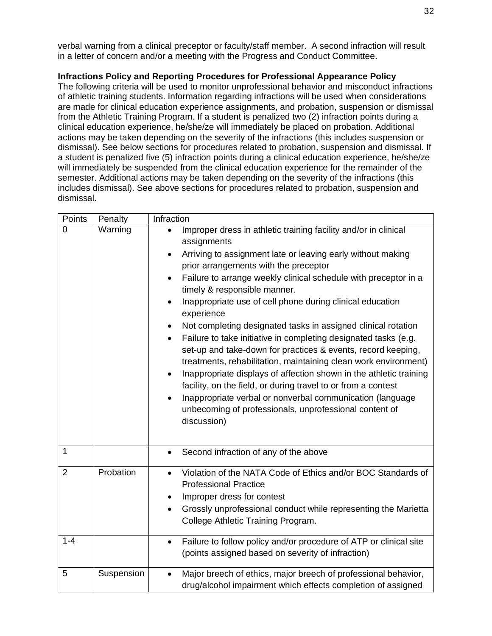verbal warning from a clinical preceptor or faculty/staff member. A second infraction will result in a letter of concern and/or a meeting with the Progress and Conduct Committee.

## <span id="page-36-0"></span>**Infractions Policy and Reporting Procedures for Professional Appearance Policy**

The following criteria will be used to monitor unprofessional behavior and misconduct infractions of athletic training students. Information regarding infractions will be used when considerations are made for clinical education experience assignments, and probation, suspension or dismissal from the Athletic Training Program. If a student is penalized two (2) infraction points during a clinical education experience, he/she/ze will immediately be placed on probation. Additional actions may be taken depending on the severity of the infractions (this includes suspension or dismissal). See below sections for procedures related to probation, suspension and dismissal. If a student is penalized five (5) infraction points during a clinical education experience, he/she/ze will immediately be suspended from the clinical education experience for the remainder of the semester. Additional actions may be taken depending on the severity of the infractions (this includes dismissal). See above sections for procedures related to probation, suspension and dismissal.

| Points         | Penalty    | Infraction                                                                                                                                                                                                                                                                                                                                                                                                                                                                                                                                                                                                                                                                                                                                                                                                                                                                                                                                                                                |
|----------------|------------|-------------------------------------------------------------------------------------------------------------------------------------------------------------------------------------------------------------------------------------------------------------------------------------------------------------------------------------------------------------------------------------------------------------------------------------------------------------------------------------------------------------------------------------------------------------------------------------------------------------------------------------------------------------------------------------------------------------------------------------------------------------------------------------------------------------------------------------------------------------------------------------------------------------------------------------------------------------------------------------------|
| 0              | Warning    | Improper dress in athletic training facility and/or in clinical<br>assignments<br>Arriving to assignment late or leaving early without making<br>$\bullet$<br>prior arrangements with the preceptor<br>Failure to arrange weekly clinical schedule with preceptor in a<br>$\bullet$<br>timely & responsible manner.<br>Inappropriate use of cell phone during clinical education<br>$\bullet$<br>experience<br>Not completing designated tasks in assigned clinical rotation<br>Failure to take initiative in completing designated tasks (e.g.<br>$\bullet$<br>set-up and take-down for practices & events, record keeping,<br>treatments, rehabilitation, maintaining clean work environment)<br>Inappropriate displays of affection shown in the athletic training<br>$\bullet$<br>facility, on the field, or during travel to or from a contest<br>Inappropriate verbal or nonverbal communication (language<br>unbecoming of professionals, unprofessional content of<br>discussion) |
| $\overline{1}$ |            | Second infraction of any of the above<br>$\bullet$                                                                                                                                                                                                                                                                                                                                                                                                                                                                                                                                                                                                                                                                                                                                                                                                                                                                                                                                        |
| $\overline{2}$ | Probation  | Violation of the NATA Code of Ethics and/or BOC Standards of<br><b>Professional Practice</b><br>Improper dress for contest<br>Grossly unprofessional conduct while representing the Marietta<br>$\bullet$<br>College Athletic Training Program.                                                                                                                                                                                                                                                                                                                                                                                                                                                                                                                                                                                                                                                                                                                                           |
| $1 - 4$        |            | Failure to follow policy and/or procedure of ATP or clinical site<br>$\bullet$<br>(points assigned based on severity of infraction)                                                                                                                                                                                                                                                                                                                                                                                                                                                                                                                                                                                                                                                                                                                                                                                                                                                       |
| 5              | Suspension | Major breech of ethics, major breech of professional behavior,<br>drug/alcohol impairment which effects completion of assigned                                                                                                                                                                                                                                                                                                                                                                                                                                                                                                                                                                                                                                                                                                                                                                                                                                                            |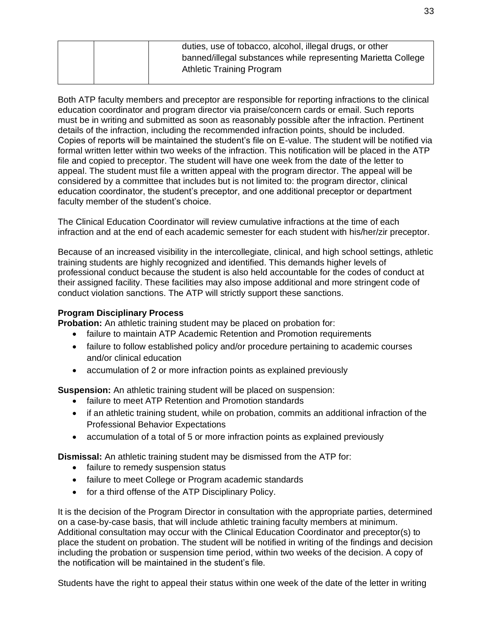| duties, use of tobacco, alcohol, illegal drugs, or other      |
|---------------------------------------------------------------|
| banned/illegal substances while representing Marietta College |
| <b>Athletic Training Program</b>                              |

Both ATP faculty members and preceptor are responsible for reporting infractions to the clinical education coordinator and program director via praise/concern cards or email. Such reports must be in writing and submitted as soon as reasonably possible after the infraction. Pertinent details of the infraction, including the recommended infraction points, should be included. Copies of reports will be maintained the student's file on E-value. The student will be notified via formal written letter within two weeks of the infraction. This notification will be placed in the ATP file and copied to preceptor. The student will have one week from the date of the letter to appeal. The student must file a written appeal with the program director. The appeal will be considered by a committee that includes but is not limited to: the program director, clinical education coordinator, the student's preceptor, and one additional preceptor or department faculty member of the student's choice.

The Clinical Education Coordinator will review cumulative infractions at the time of each infraction and at the end of each academic semester for each student with his/her/zir preceptor.

Because of an increased visibility in the intercollegiate, clinical, and high school settings, athletic training students are highly recognized and identified. This demands higher levels of professional conduct because the student is also held accountable for the codes of conduct at their assigned facility. These facilities may also impose additional and more stringent code of conduct violation sanctions. The ATP will strictly support these sanctions.

#### <span id="page-37-0"></span>**Program Disciplinary Process**

**Probation:** An athletic training student may be placed on probation for:

- failure to maintain ATP Academic Retention and Promotion requirements
- failure to follow established policy and/or procedure pertaining to academic courses and/or clinical education
- accumulation of 2 or more infraction points as explained previously

**Suspension:** An athletic training student will be placed on suspension:

- failure to meet ATP Retention and Promotion standards
- if an athletic training student, while on probation, commits an additional infraction of the Professional Behavior Expectations
- accumulation of a total of 5 or more infraction points as explained previously

**Dismissal:** An athletic training student may be dismissed from the ATP for:

- failure to remedy suspension status
- failure to meet College or Program academic standards
- for a third offense of the ATP Disciplinary Policy.

It is the decision of the Program Director in consultation with the appropriate parties, determined on a case-by-case basis, that will include athletic training faculty members at minimum. Additional consultation may occur with the Clinical Education Coordinator and preceptor(s) to place the student on probation. The student will be notified in writing of the findings and decision including the probation or suspension time period, within two weeks of the decision. A copy of the notification will be maintained in the student's file.

Students have the right to appeal their status within one week of the date of the letter in writing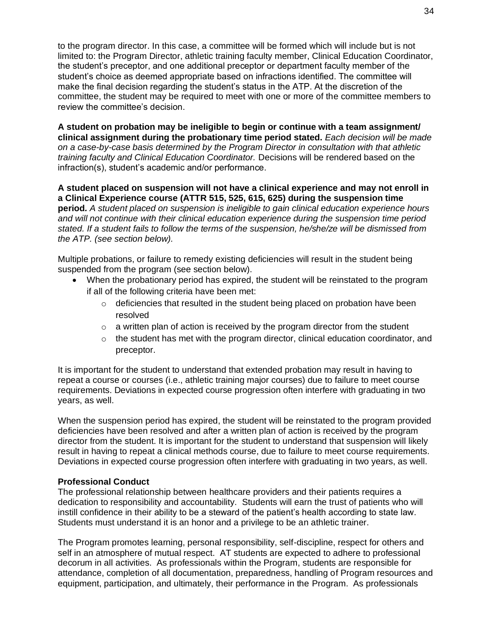to the program director. In this case, a committee will be formed which will include but is not limited to: the Program Director, athletic training faculty member, Clinical Education Coordinator, the student's preceptor, and one additional preceptor or department faculty member of the student's choice as deemed appropriate based on infractions identified. The committee will make the final decision regarding the student's status in the ATP. At the discretion of the committee, the student may be required to meet with one or more of the committee members to review the committee's decision.

**A student on probation may be ineligible to begin or continue with a team assignment/ clinical assignment during the probationary time period stated.** *Each decision will be made on a case-by-case basis determined by the Program Director in consultation with that athletic training faculty and Clinical Education Coordinator.* Decisions will be rendered based on the infraction(s), student's academic and/or performance.

**A student placed on suspension will not have a clinical experience and may not enroll in a Clinical Experience course (ATTR 515, 525, 615, 625) during the suspension time period***. A student placed on suspension is ineligible to gain clinical education experience hours and will not continue with their clinical education experience during the suspension time period stated. If a student fails to follow the terms of the suspension, he/she/ze will be dismissed from the ATP. (see section below).* 

Multiple probations, or failure to remedy existing deficiencies will result in the student being suspended from the program (see section below).

- When the probationary period has expired, the student will be reinstated to the program if all of the following criteria have been met:
	- $\circ$  deficiencies that resulted in the student being placed on probation have been resolved
	- $\circ$  a written plan of action is received by the program director from the student
	- $\circ$  the student has met with the program director, clinical education coordinator, and preceptor.

It is important for the student to understand that extended probation may result in having to repeat a course or courses (i.e., athletic training major courses) due to failure to meet course requirements. Deviations in expected course progression often interfere with graduating in two years, as well.

When the suspension period has expired, the student will be reinstated to the program provided deficiencies have been resolved and after a written plan of action is received by the program director from the student. It is important for the student to understand that suspension will likely result in having to repeat a clinical methods course, due to failure to meet course requirements. Deviations in expected course progression often interfere with graduating in two years, as well.

#### <span id="page-38-0"></span>**Professional Conduct**

The professional relationship between healthcare providers and their patients requires a dedication to responsibility and accountability. Students will earn the trust of patients who will instill confidence in their ability to be a steward of the patient's health according to state law. Students must understand it is an honor and a privilege to be an athletic trainer.

The Program promotes learning, personal responsibility, self-discipline, respect for others and self in an atmosphere of mutual respect. AT students are expected to adhere to professional decorum in all activities. As professionals within the Program, students are responsible for attendance, completion of all documentation, preparedness, handling of Program resources and equipment, participation, and ultimately, their performance in the Program. As professionals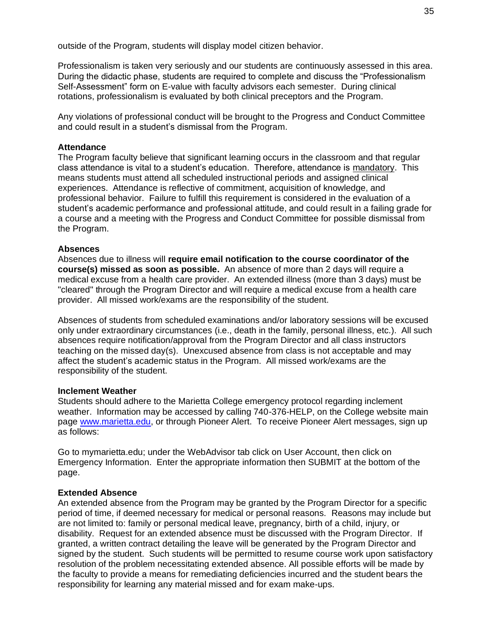outside of the Program, students will display model citizen behavior.

Professionalism is taken very seriously and our students are continuously assessed in this area. During the didactic phase, students are required to complete and discuss the "Professionalism Self-Assessment" form on E-value with faculty advisors each semester. During clinical rotations, professionalism is evaluated by both clinical preceptors and the Program.

Any violations of professional conduct will be brought to the Progress and Conduct Committee and could result in a student's dismissal from the Program.

#### <span id="page-39-0"></span>**Attendance**

The Program faculty believe that significant learning occurs in the classroom and that regular class attendance is vital to a student's education. Therefore, attendance is mandatory. This means students must attend all scheduled instructional periods and assigned clinical experiences. Attendance is reflective of commitment, acquisition of knowledge, and professional behavior. Failure to fulfill this requirement is considered in the evaluation of a student's academic performance and professional attitude, and could result in a failing grade for a course and a meeting with the Progress and Conduct Committee for possible dismissal from the Program.

#### <span id="page-39-1"></span>**Absences**

Absences due to illness will **require email notification to the course coordinator of the course(s) missed as soon as possible.** An absence of more than 2 days will require a medical excuse from a health care provider. An extended illness (more than 3 days) must be "cleared" through the Program Director and will require a medical excuse from a health care provider. All missed work/exams are the responsibility of the student.

Absences of students from scheduled examinations and/or laboratory sessions will be excused only under extraordinary circumstances (i.e., death in the family, personal illness, etc.). All such absences require notification/approval from the Program Director and all class instructors teaching on the missed day(s). Unexcused absence from class is not acceptable and may affect the student's academic status in the Program. All missed work/exams are the responsibility of the student.

#### <span id="page-39-2"></span>**Inclement Weather**

Students should adhere to the Marietta College emergency protocol regarding inclement weather. Information may be accessed by calling 740-376-HELP, on the College website main page [www.marietta.edu,](http://www.marietta.edu/) or through Pioneer Alert. To receive Pioneer Alert messages, sign up as follows:

Go to mymarietta.edu; under the WebAdvisor tab click on User Account, then click on Emergency Information. Enter the appropriate information then SUBMIT at the bottom of the page.

#### <span id="page-39-3"></span>**Extended Absence**

An extended absence from the Program may be granted by the Program Director for a specific period of time, if deemed necessary for medical or personal reasons. Reasons may include but are not limited to: family or personal medical leave, pregnancy, birth of a child, injury, or disability. Request for an extended absence must be discussed with the Program Director. If granted, a written contract detailing the leave will be generated by the Program Director and signed by the student. Such students will be permitted to resume course work upon satisfactory resolution of the problem necessitating extended absence. All possible efforts will be made by the faculty to provide a means for remediating deficiencies incurred and the student bears the responsibility for learning any material missed and for exam make-ups.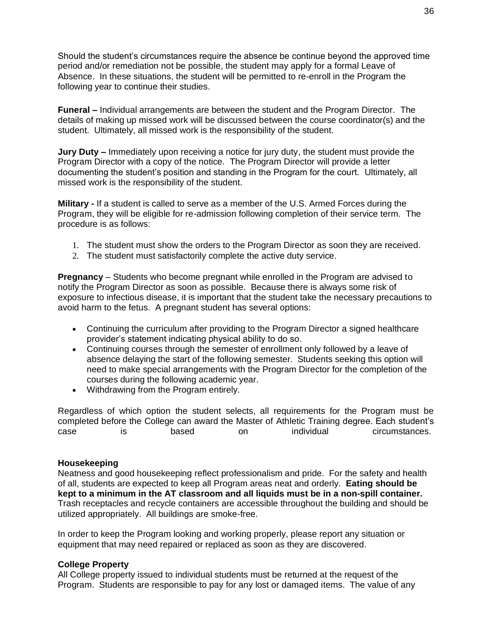Should the student's circumstances require the absence be continue beyond the approved time period and/or remediation not be possible, the student may apply for a formal Leave of Absence. In these situations, the student will be permitted to re-enroll in the Program the following year to continue their studies.

**Funeral –** Individual arrangements are between the student and the Program Director. The details of making up missed work will be discussed between the course coordinator(s) and the student. Ultimately, all missed work is the responsibility of the student.

**Jury Duty –** Immediately upon receiving a notice for jury duty, the student must provide the Program Director with a copy of the notice. The Program Director will provide a letter documenting the student's position and standing in the Program for the court. Ultimately, all missed work is the responsibility of the student.

**Military -** If a student is called to serve as a member of the U.S. Armed Forces during the Program, they will be eligible for re-admission following completion of their service term. The procedure is as follows:

- 1. The student must show the orders to the Program Director as soon they are received.
- 2. The student must satisfactorily complete the active duty service.

**Pregnancy** – Students who become pregnant while enrolled in the Program are advised to notify the Program Director as soon as possible. Because there is always some risk of exposure to infectious disease, it is important that the student take the necessary precautions to avoid harm to the fetus. A pregnant student has several options:

- Continuing the curriculum after providing to the Program Director a signed healthcare provider's statement indicating physical ability to do so.
- Continuing courses through the semester of enrollment only followed by a leave of absence delaying the start of the following semester. Students seeking this option will need to make special arrangements with the Program Director for the completion of the courses during the following academic year.
- Withdrawing from the Program entirely.

Regardless of which option the student selects, all requirements for the Program must be completed before the College can award the Master of Athletic Training degree. Each student's case is based on individual circumstances.

#### <span id="page-40-0"></span>**Housekeeping**

Neatness and good housekeeping reflect professionalism and pride. For the safety and health of all, students are expected to keep all Program areas neat and orderly. **Eating should be kept to a minimum in the AT classroom and all liquids must be in a non-spill container.** Trash receptacles and recycle containers are accessible throughout the building and should be utilized appropriately. All buildings are smoke-free.

In order to keep the Program looking and working properly, please report any situation or equipment that may need repaired or replaced as soon as they are discovered.

#### <span id="page-40-1"></span>**College Property**

All College property issued to individual students must be returned at the request of the Program. Students are responsible to pay for any lost or damaged items. The value of any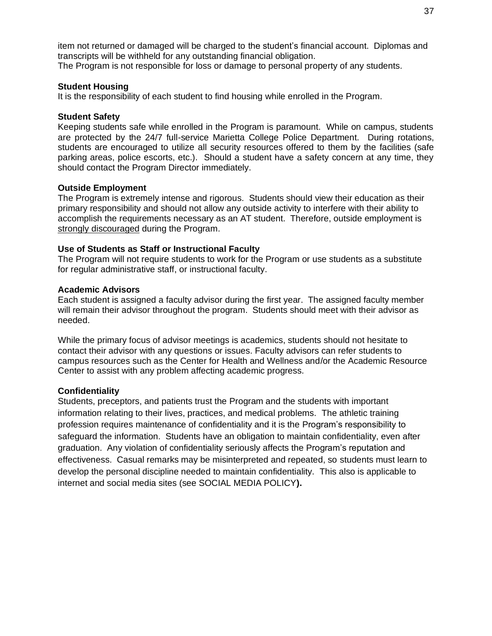item not returned or damaged will be charged to the student's financial account. Diplomas and transcripts will be withheld for any outstanding financial obligation.

The Program is not responsible for loss or damage to personal property of any students.

## <span id="page-41-0"></span>**Student Housing**

It is the responsibility of each student to find housing while enrolled in the Program.

## <span id="page-41-1"></span>**Student Safety**

Keeping students safe while enrolled in the Program is paramount. While on campus, students are protected by the 24/7 full-service Marietta College Police Department. During rotations, students are encouraged to utilize all security resources offered to them by the facilities (safe parking areas, police escorts, etc.). Should a student have a safety concern at any time, they should contact the Program Director immediately.

## <span id="page-41-2"></span>**Outside Employment**

The Program is extremely intense and rigorous. Students should view their education as their primary responsibility and should not allow any outside activity to interfere with their ability to accomplish the requirements necessary as an AT student. Therefore, outside employment is strongly discouraged during the Program.

## <span id="page-41-3"></span>**Use of Students as Staff or Instructional Faculty**

The Program will not require students to work for the Program or use students as a substitute for regular administrative staff, or instructional faculty.

## <span id="page-41-4"></span>**Academic Advisors**

Each student is assigned a faculty advisor during the first year. The assigned faculty member will remain their advisor throughout the program. Students should meet with their advisor as needed.

While the primary focus of advisor meetings is academics, students should not hesitate to contact their advisor with any questions or issues. Faculty advisors can refer students to campus resources such as the Center for Health and Wellness and/or the Academic Resource Center to assist with any problem affecting academic progress.

## <span id="page-41-5"></span>**Confidentiality**

Students, preceptors, and patients trust the Program and the students with important information relating to their lives, practices, and medical problems. The athletic training profession requires maintenance of confidentiality and it is the Program's responsibility to safeguard the information. Students have an obligation to maintain confidentiality, even after graduation. Any violation of confidentiality seriously affects the Program's reputation and effectiveness. Casual remarks may be misinterpreted and repeated, so students must learn to develop the personal discipline needed to maintain confidentiality. This also is applicable to internet and social media sites (see SOCIAL MEDIA POLICY**).**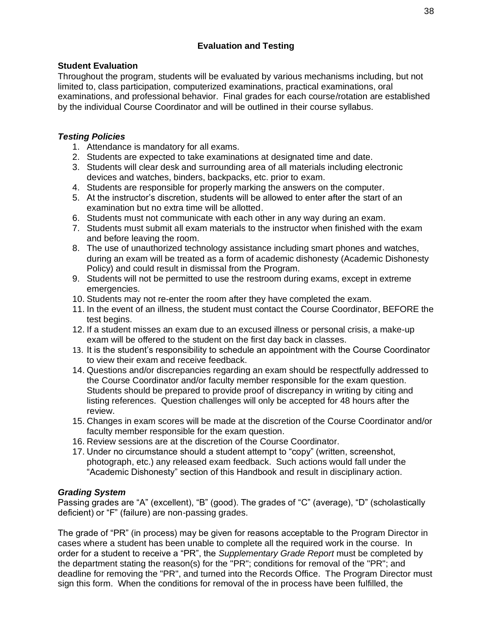## **Evaluation and Testing**

## <span id="page-42-1"></span><span id="page-42-0"></span>**Student Evaluation**

Throughout the program, students will be evaluated by various mechanisms including, but not limited to, class participation, computerized examinations, practical examinations, oral examinations, and professional behavior. Final grades for each course/rotation are established by the individual Course Coordinator and will be outlined in their course syllabus.

## <span id="page-42-2"></span>*Testing Policies*

- 1. Attendance is mandatory for all exams.
- 2. Students are expected to take examinations at designated time and date.
- 3. Students will clear desk and surrounding area of all materials including electronic devices and watches, binders, backpacks, etc. prior to exam.
- 4. Students are responsible for properly marking the answers on the computer.
- 5. At the instructor's discretion, students will be allowed to enter after the start of an examination but no extra time will be allotted.
- 6. Students must not communicate with each other in any way during an exam.
- 7. Students must submit all exam materials to the instructor when finished with the exam and before leaving the room.
- 8. The use of unauthorized technology assistance including smart phones and watches, during an exam will be treated as a form of academic dishonesty (Academic Dishonesty Policy) and could result in dismissal from the Program.
- 9. Students will not be permitted to use the restroom during exams, except in extreme emergencies.
- 10. Students may not re-enter the room after they have completed the exam.
- 11. In the event of an illness, the student must contact the Course Coordinator, BEFORE the test begins.
- 12. If a student misses an exam due to an excused illness or personal crisis, a make-up exam will be offered to the student on the first day back in classes.
- 13. It is the student's responsibility to schedule an appointment with the Course Coordinator to view their exam and receive feedback.
- 14. Questions and/or discrepancies regarding an exam should be respectfully addressed to the Course Coordinator and/or faculty member responsible for the exam question. Students should be prepared to provide proof of discrepancy in writing by citing and listing references. Question challenges will only be accepted for 48 hours after the review.
- 15. Changes in exam scores will be made at the discretion of the Course Coordinator and/or faculty member responsible for the exam question.
- 16. Review sessions are at the discretion of the Course Coordinator.
- 17. Under no circumstance should a student attempt to "copy" (written, screenshot, photograph, etc.) any released exam feedback. Such actions would fall under the "Academic Dishonesty" section of this Handbook and result in disciplinary action.

## <span id="page-42-3"></span>*Grading System*

Passing grades are "A" (excellent), "B" (good). The grades of "C" (average), "D" (scholastically deficient) or "F" (failure) are non-passing grades.

The grade of "PR" (in process) may be given for reasons acceptable to the Program Director in cases where a student has been unable to complete all the required work in the course. In order for a student to receive a "PR", the *Supplementary Grade Report* must be completed by the department stating the reason(s) for the "PR"; conditions for removal of the "PR"; and deadline for removing the "PR", and turned into the Records Office. The Program Director must sign this form. When the conditions for removal of the in process have been fulfilled, the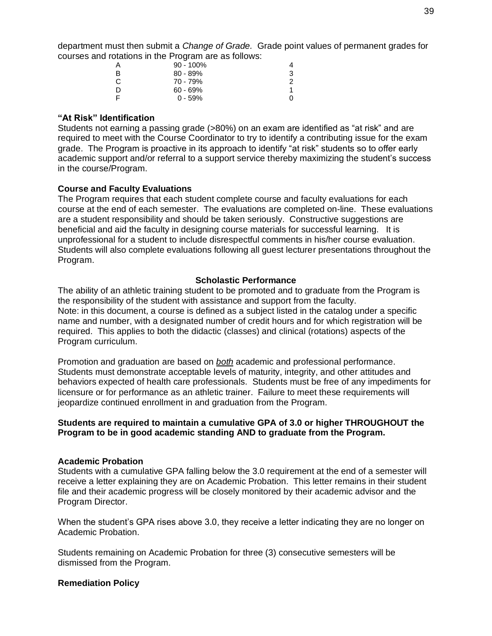department must then submit a *Change of Grade.* Grade point values of permanent grades for courses and rotations in the Program are as follows:

| A | $90 - 100\%$ |   |
|---|--------------|---|
| B | $80 - 89%$   | 3 |
| C | 70 - 79%     | 2 |
| D | $60 - 69%$   |   |
| E | $0 - 59%$    |   |

#### <span id="page-43-0"></span>**"At Risk" Identification**

Students not earning a passing grade (>80%) on an exam are identified as "at risk" and are required to meet with the Course Coordinator to try to identify a contributing issue for the exam grade. The Program is proactive in its approach to identify "at risk" students so to offer early academic support and/or referral to a support service thereby maximizing the student's success in the course/Program.

#### <span id="page-43-1"></span>**Course and Faculty Evaluations**

The Program requires that each student complete course and faculty evaluations for each course at the end of each semester. The evaluations are completed on-line. These evaluations are a student responsibility and should be taken seriously. Constructive suggestions are beneficial and aid the faculty in designing course materials for successful learning. It is unprofessional for a student to include disrespectful comments in his/her course evaluation. Students will also complete evaluations following all guest lecturer presentations throughout the Program.

#### **Scholastic Performance**

<span id="page-43-2"></span>The ability of an athletic training student to be promoted and to graduate from the Program is the responsibility of the student with assistance and support from the faculty. Note: in this document, a course is defined as a subject listed in the catalog under a specific name and number, with a designated number of credit hours and for which registration will be required. This applies to both the didactic (classes) and clinical (rotations) aspects of the Program curriculum.

Promotion and graduation are based on *both* academic and professional performance. Students must demonstrate acceptable levels of maturity, integrity, and other attitudes and behaviors expected of health care professionals. Students must be free of any impediments for licensure or for performance as an athletic trainer. Failure to meet these requirements will jeopardize continued enrollment in and graduation from the Program.

#### **Students are required to maintain a cumulative GPA of 3.0 or higher THROUGHOUT the Program to be in good academic standing AND to graduate from the Program.**

#### <span id="page-43-3"></span>**Academic Probation**

Students with a cumulative GPA falling below the 3.0 requirement at the end of a semester will receive a letter explaining they are on Academic Probation. This letter remains in their student file and their academic progress will be closely monitored by their academic advisor and the Program Director.

When the student's GPA rises above 3.0, they receive a letter indicating they are no longer on Academic Probation.

Students remaining on Academic Probation for three (3) consecutive semesters will be dismissed from the Program.

#### <span id="page-43-4"></span>**Remediation Policy**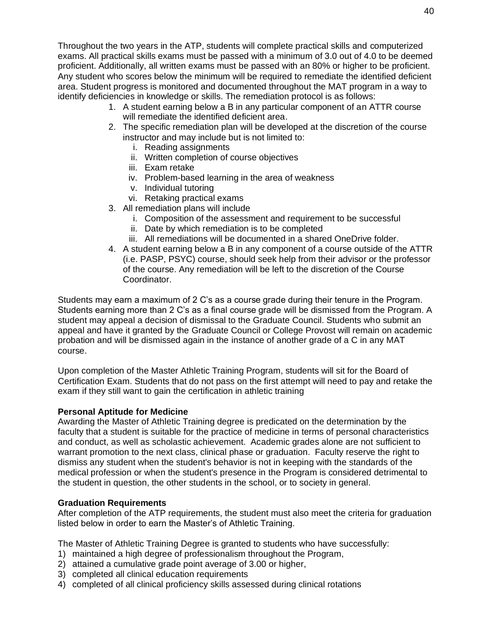Throughout the two years in the ATP, students will complete practical skills and computerized exams. All practical skills exams must be passed with a minimum of 3.0 out of 4.0 to be deemed proficient. Additionally, all written exams must be passed with an 80% or higher to be proficient.

Any student who scores below the minimum will be required to remediate the identified deficient area. Student progress is monitored and documented throughout the MAT program in a way to identify deficiencies in knowledge or skills. The remediation protocol is as follows:

- 1. A student earning below a B in any particular component of an ATTR course will remediate the identified deficient area.
- 2. The specific remediation plan will be developed at the discretion of the course instructor and may include but is not limited to:
	- i. Reading assignments
	- ii. Written completion of course objectives
	- iii. Exam retake
	- iv. Problem-based learning in the area of weakness
	- v. Individual tutoring
	- vi. Retaking practical exams
- 3. All remediation plans will include
	- i. Composition of the assessment and requirement to be successful
	- ii. Date by which remediation is to be completed
	- iii. All remediations will be documented in a shared OneDrive folder.
- 4. A student earning below a B in any component of a course outside of the ATTR (i.e. PASP, PSYC) course, should seek help from their advisor or the professor of the course. Any remediation will be left to the discretion of the Course Coordinator.

Students may earn a maximum of 2 C's as a course grade during their tenure in the Program. Students earning more than 2 C's as a final course grade will be dismissed from the Program. A student may appeal a decision of dismissal to the Graduate Council. Students who submit an appeal and have it granted by the Graduate Council or College Provost will remain on academic probation and will be dismissed again in the instance of another grade of a C in any MAT course.

Upon completion of the Master Athletic Training Program, students will sit for the Board of Certification Exam. Students that do not pass on the first attempt will need to pay and retake the exam if they still want to gain the certification in athletic training

## <span id="page-44-0"></span>**Personal Aptitude for Medicine**

Awarding the Master of Athletic Training degree is predicated on the determination by the faculty that a student is suitable for the practice of medicine in terms of personal characteristics and conduct, as well as scholastic achievement. Academic grades alone are not sufficient to warrant promotion to the next class, clinical phase or graduation. Faculty reserve the right to dismiss any student when the student's behavior is not in keeping with the standards of the medical profession or when the student's presence in the Program is considered detrimental to the student in question, the other students in the school, or to society in general.

## <span id="page-44-1"></span>**Graduation Requirements**

After completion of the ATP requirements, the student must also meet the criteria for graduation listed below in order to earn the Master's of Athletic Training.

The Master of Athletic Training Degree is granted to students who have successfully:

- 1) maintained a high degree of professionalism throughout the Program,
- 2) attained a cumulative grade point average of 3.00 or higher,
- 3) completed all clinical education requirements
- 4) completed of all clinical proficiency skills assessed during clinical rotations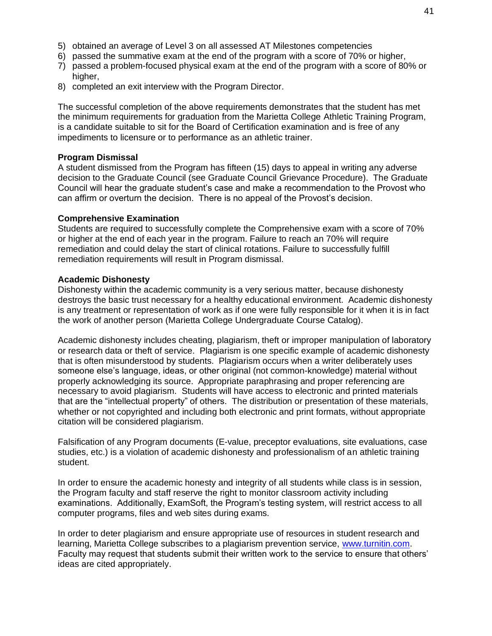- 5) obtained an average of Level 3 on all assessed AT Milestones competencies
- 6) passed the summative exam at the end of the program with a score of 70% or higher,
- 7) passed a problem-focused physical exam at the end of the program with a score of 80% or higher,
- 8) completed an exit interview with the Program Director.

The successful completion of the above requirements demonstrates that the student has met the minimum requirements for graduation from the Marietta College Athletic Training Program, is a candidate suitable to sit for the Board of Certification examination and is free of any impediments to licensure or to performance as an athletic trainer.

#### <span id="page-45-0"></span>**Program Dismissal**

A student dismissed from the Program has fifteen (15) days to appeal in writing any adverse decision to the Graduate Council (see Graduate Council Grievance Procedure). The Graduate Council will hear the graduate student's case and make a recommendation to the Provost who can affirm or overturn the decision. There is no appeal of the Provost's decision.

#### <span id="page-45-1"></span>**Comprehensive Examination**

Students are required to successfully complete the Comprehensive exam with a score of 70% or higher at the end of each year in the program. Failure to reach an 70% will require remediation and could delay the start of clinical rotations. Failure to successfully fulfill remediation requirements will result in Program dismissal.

#### <span id="page-45-2"></span>**Academic Dishonesty**

Dishonesty within the academic community is a very serious matter, because dishonesty destroys the basic trust necessary for a healthy educational environment. Academic dishonesty is any treatment or representation of work as if one were fully responsible for it when it is in fact the work of another person (Marietta College Undergraduate Course Catalog).

Academic dishonesty includes cheating, plagiarism, theft or improper manipulation of laboratory or research data or theft of service. Plagiarism is one specific example of academic dishonesty that is often misunderstood by students. Plagiarism occurs when a writer deliberately uses someone else's language, ideas, or other original (not common-knowledge) material without properly acknowledging its source. Appropriate paraphrasing and proper referencing are necessary to avoid plagiarism. Students will have access to electronic and printed materials that are the "intellectual property" of others. The distribution or presentation of these materials, whether or not copyrighted and including both electronic and print formats, without appropriate citation will be considered plagiarism.

Falsification of any Program documents (E-value, preceptor evaluations, site evaluations, case studies, etc.) is a violation of academic dishonesty and professionalism of an athletic training student.

In order to ensure the academic honesty and integrity of all students while class is in session, the Program faculty and staff reserve the right to monitor classroom activity including examinations. Additionally, ExamSoft, the Program's testing system, will restrict access to all computer programs, files and web sites during exams.

In order to deter plagiarism and ensure appropriate use of resources in student research and learning, Marietta College subscribes to a plagiarism prevention service, [www.turnitin.com.](http://www.turnitin.com/) Faculty may request that students submit their written work to the service to ensure that others' ideas are cited appropriately.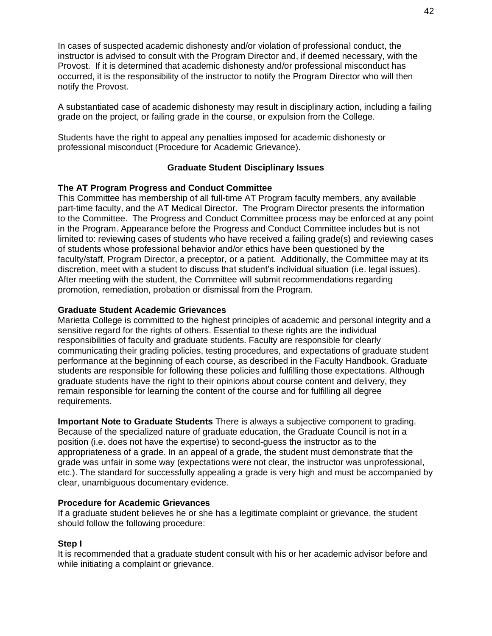In cases of suspected academic dishonesty and/or violation of professional conduct, the instructor is advised to consult with the Program Director and, if deemed necessary, with the Provost. If it is determined that academic dishonesty and/or professional misconduct has occurred, it is the responsibility of the instructor to notify the Program Director who will then notify the Provost.

A substantiated case of academic dishonesty may result in disciplinary action, including a failing grade on the project, or failing grade in the course, or expulsion from the College.

Students have the right to appeal any penalties imposed for academic dishonesty or professional misconduct (Procedure for Academic Grievance).

#### **Graduate Student Disciplinary Issues**

#### <span id="page-46-1"></span><span id="page-46-0"></span>**The AT Program Progress and Conduct Committee**

This Committee has membership of all full-time AT Program faculty members, any available part-time faculty, and the AT Medical Director. The Program Director presents the information to the Committee. The Progress and Conduct Committee process may be enforced at any point in the Program. Appearance before the Progress and Conduct Committee includes but is not limited to: reviewing cases of students who have received a failing grade(s) and reviewing cases of students whose professional behavior and/or ethics have been questioned by the faculty/staff, Program Director, a preceptor, or a patient. Additionally, the Committee may at its discretion, meet with a student to discuss that student's individual situation (i.e. legal issues). After meeting with the student, the Committee will submit recommendations regarding promotion, remediation, probation or dismissal from the Program.

#### <span id="page-46-2"></span>**Graduate Student Academic Grievances**

Marietta College is committed to the highest principles of academic and personal integrity and a sensitive regard for the rights of others. Essential to these rights are the individual responsibilities of faculty and graduate students. Faculty are responsible for clearly communicating their grading policies, testing procedures, and expectations of graduate student performance at the beginning of each course, as described in the Faculty Handbook. Graduate students are responsible for following these policies and fulfilling those expectations. Although graduate students have the right to their opinions about course content and delivery, they remain responsible for learning the content of the course and for fulfilling all degree requirements.

**Important Note to Graduate Students** There is always a subjective component to grading. Because of the specialized nature of graduate education, the Graduate Council is not in a position (i.e. does not have the expertise) to second-guess the instructor as to the appropriateness of a grade. In an appeal of a grade, the student must demonstrate that the grade was unfair in some way (expectations were not clear, the instructor was unprofessional, etc.). The standard for successfully appealing a grade is very high and must be accompanied by clear, unambiguous documentary evidence.

#### <span id="page-46-3"></span>**Procedure for Academic Grievances**

If a graduate student believes he or she has a legitimate complaint or grievance, the student should follow the following procedure:

#### **Step I**

It is recommended that a graduate student consult with his or her academic advisor before and while initiating a complaint or grievance.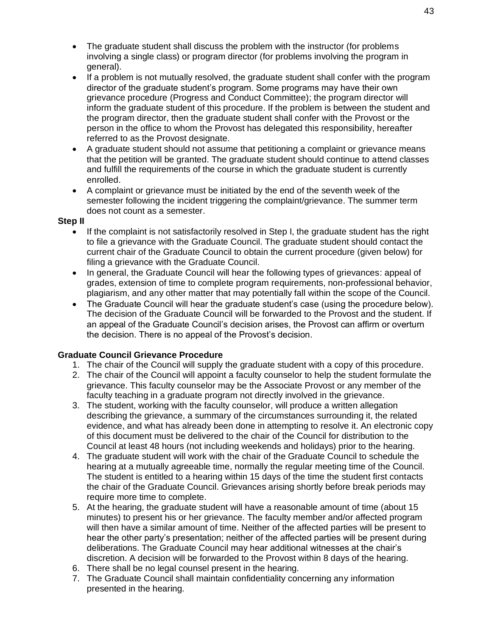- The graduate student shall discuss the problem with the instructor (for problems involving a single class) or program director (for problems involving the program in general).
- If a problem is not mutually resolved, the graduate student shall confer with the program director of the graduate student's program. Some programs may have their own grievance procedure (Progress and Conduct Committee); the program director will inform the graduate student of this procedure. If the problem is between the student and the program director, then the graduate student shall confer with the Provost or the person in the office to whom the Provost has delegated this responsibility, hereafter referred to as the Provost designate.
- A graduate student should not assume that petitioning a complaint or grievance means that the petition will be granted. The graduate student should continue to attend classes and fulfill the requirements of the course in which the graduate student is currently enrolled.
- A complaint or grievance must be initiated by the end of the seventh week of the semester following the incident triggering the complaint/grievance. The summer term does not count as a semester.

#### **Step II**

- If the complaint is not satisfactorily resolved in Step I, the graduate student has the right to file a grievance with the Graduate Council. The graduate student should contact the current chair of the Graduate Council to obtain the current procedure (given below) for filing a grievance with the Graduate Council.
- In general, the Graduate Council will hear the following types of grievances: appeal of grades, extension of time to complete program requirements, non-professional behavior, plagiarism, and any other matter that may potentially fall within the scope of the Council.
- The Graduate Council will hear the graduate student's case (using the procedure below). The decision of the Graduate Council will be forwarded to the Provost and the student. If an appeal of the Graduate Council's decision arises, the Provost can affirm or overturn the decision. There is no appeal of the Provost's decision.

#### <span id="page-47-0"></span>**Graduate Council Grievance Procedure**

- 1. The chair of the Council will supply the graduate student with a copy of this procedure.
- 2. The chair of the Council will appoint a faculty counselor to help the student formulate the grievance. This faculty counselor may be the Associate Provost or any member of the faculty teaching in a graduate program not directly involved in the grievance.
- 3. The student, working with the faculty counselor, will produce a written allegation describing the grievance, a summary of the circumstances surrounding it, the related evidence, and what has already been done in attempting to resolve it. An electronic copy of this document must be delivered to the chair of the Council for distribution to the Council at least 48 hours (not including weekends and holidays) prior to the hearing.
- 4. The graduate student will work with the chair of the Graduate Council to schedule the hearing at a mutually agreeable time, normally the regular meeting time of the Council. The student is entitled to a hearing within 15 days of the time the student first contacts the chair of the Graduate Council. Grievances arising shortly before break periods may require more time to complete.
- 5. At the hearing, the graduate student will have a reasonable amount of time (about 15 minutes) to present his or her grievance. The faculty member and/or affected program will then have a similar amount of time. Neither of the affected parties will be present to hear the other party's presentation; neither of the affected parties will be present during deliberations. The Graduate Council may hear additional witnesses at the chair's discretion. A decision will be forwarded to the Provost within 8 days of the hearing.
- 6. There shall be no legal counsel present in the hearing.
- 7. The Graduate Council shall maintain confidentiality concerning any information presented in the hearing.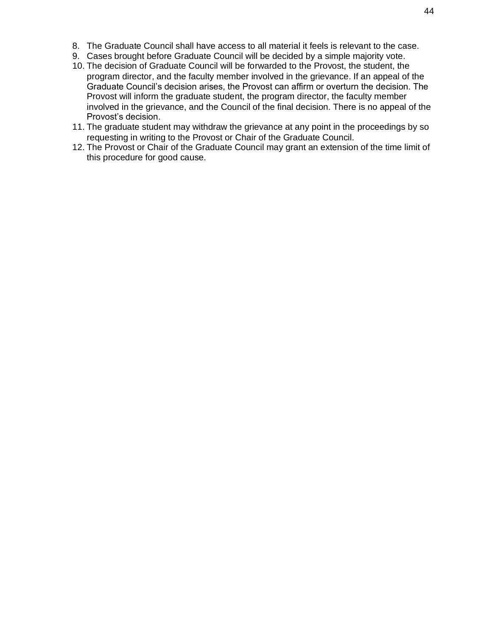- 8. The Graduate Council shall have access to all material it feels is relevant to the case.
- 9. Cases brought before Graduate Council will be decided by a simple majority vote.
- 10. The decision of Graduate Council will be forwarded to the Provost, the student, the program director, and the faculty member involved in the grievance. If an appeal of the Graduate Council's decision arises, the Provost can affirm or overturn the decision. The Provost will inform the graduate student, the program director, the faculty member involved in the grievance, and the Council of the final decision. There is no appeal of the Provost's decision.
- 11. The graduate student may withdraw the grievance at any point in the proceedings by so requesting in writing to the Provost or Chair of the Graduate Council.
- 12. The Provost or Chair of the Graduate Council may grant an extension of the time limit of this procedure for good cause.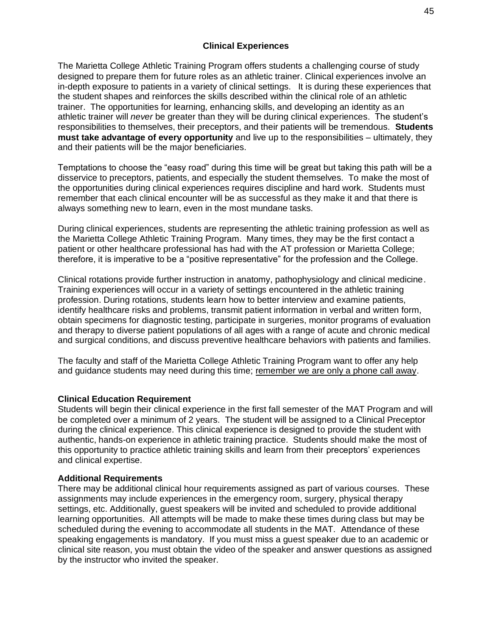#### **Clinical Experiences**

<span id="page-49-0"></span>The Marietta College Athletic Training Program offers students a challenging course of study designed to prepare them for future roles as an athletic trainer. Clinical experiences involve an in-depth exposure to patients in a variety of clinical settings. It is during these experiences that the student shapes and reinforces the skills described within the clinical role of an athletic trainer. The opportunities for learning, enhancing skills, and developing an identity as an athletic trainer will *never* be greater than they will be during clinical experiences. The student's responsibilities to themselves, their preceptors, and their patients will be tremendous. **Students must take advantage of every opportunity** and live up to the responsibilities – ultimately, they and their patients will be the major beneficiaries.

Temptations to choose the "easy road" during this time will be great but taking this path will be a disservice to preceptors, patients, and especially the student themselves. To make the most of the opportunities during clinical experiences requires discipline and hard work. Students must remember that each clinical encounter will be as successful as they make it and that there is always something new to learn, even in the most mundane tasks.

During clinical experiences, students are representing the athletic training profession as well as the Marietta College Athletic Training Program. Many times, they may be the first contact a patient or other healthcare professional has had with the AT profession or Marietta College; therefore, it is imperative to be a "positive representative" for the profession and the College.

Clinical rotations provide further instruction in anatomy, pathophysiology and clinical medicine. Training experiences will occur in a variety of settings encountered in the athletic training profession. During rotations, students learn how to better interview and examine patients, identify healthcare risks and problems, transmit patient information in verbal and written form, obtain specimens for diagnostic testing, participate in surgeries, monitor programs of evaluation and therapy to diverse patient populations of all ages with a range of acute and chronic medical and surgical conditions, and discuss preventive healthcare behaviors with patients and families.

The faculty and staff of the Marietta College Athletic Training Program want to offer any help and guidance students may need during this time; remember we are only a phone call away.

#### <span id="page-49-1"></span>**Clinical Education Requirement**

Students will begin their clinical experience in the first fall semester of the MAT Program and will be completed over a minimum of 2 years. The student will be assigned to a Clinical Preceptor during the clinical experience. This clinical experience is designed to provide the student with authentic, hands-on experience in athletic training practice. Students should make the most of this opportunity to practice athletic training skills and learn from their preceptors' experiences and clinical expertise.

#### <span id="page-49-2"></span>**Additional Requirements**

There may be additional clinical hour requirements assigned as part of various courses. These assignments may include experiences in the emergency room, surgery, physical therapy settings, etc. Additionally, guest speakers will be invited and scheduled to provide additional learning opportunities. All attempts will be made to make these times during class but may be scheduled during the evening to accommodate all students in the MAT. Attendance of these speaking engagements is mandatory. If you must miss a guest speaker due to an academic or clinical site reason, you must obtain the video of the speaker and answer questions as assigned by the instructor who invited the speaker.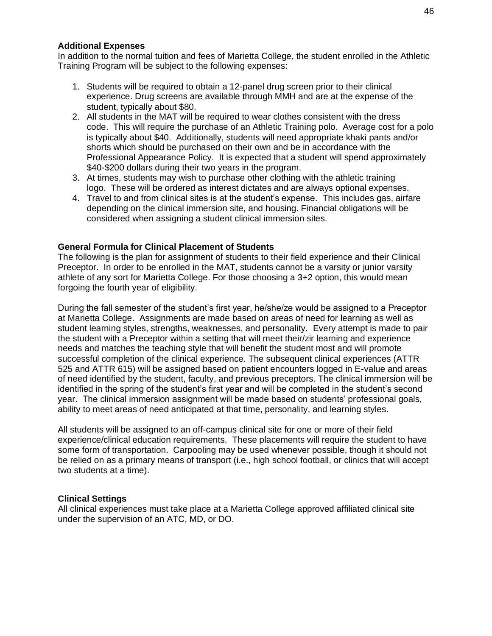#### <span id="page-50-0"></span>**Additional Expenses**

In addition to the normal tuition and fees of Marietta College, the student enrolled in the Athletic Training Program will be subject to the following expenses:

- 1. Students will be required to obtain a 12-panel drug screen prior to their clinical experience. Drug screens are available through MMH and are at the expense of the student, typically about \$80.
- 2. All students in the MAT will be required to wear clothes consistent with the dress code. This will require the purchase of an Athletic Training polo. Average cost for a polo is typically about \$40. Additionally, students will need appropriate khaki pants and/or shorts which should be purchased on their own and be in accordance with the Professional Appearance Policy. It is expected that a student will spend approximately \$40-\$200 dollars during their two years in the program.
- 3. At times, students may wish to purchase other clothing with the athletic training logo. These will be ordered as interest dictates and are always optional expenses.
- 4. Travel to and from clinical sites is at the student's expense. This includes gas, airfare depending on the clinical immersion site, and housing. Financial obligations will be considered when assigning a student clinical immersion sites.

#### <span id="page-50-1"></span>**General Formula for Clinical Placement of Students**

The following is the plan for assignment of students to their field experience and their Clinical Preceptor. In order to be enrolled in the MAT, students cannot be a varsity or junior varsity athlete of any sort for Marietta College. For those choosing a 3+2 option, this would mean forgoing the fourth year of eligibility.

During the fall semester of the student's first year, he/she/ze would be assigned to a Preceptor at Marietta College. Assignments are made based on areas of need for learning as well as student learning styles, strengths, weaknesses, and personality. Every attempt is made to pair the student with a Preceptor within a setting that will meet their/zir learning and experience needs and matches the teaching style that will benefit the student most and will promote successful completion of the clinical experience. The subsequent clinical experiences (ATTR 525 and ATTR 615) will be assigned based on patient encounters logged in E-value and areas of need identified by the student, faculty, and previous preceptors. The clinical immersion will be identified in the spring of the student's first year and will be completed in the student's second year. The clinical immersion assignment will be made based on students' professional goals, ability to meet areas of need anticipated at that time, personality, and learning styles.

All students will be assigned to an off-campus clinical site for one or more of their field experience/clinical education requirements. These placements will require the student to have some form of transportation. Carpooling may be used whenever possible, though it should not be relied on as a primary means of transport (i.e., high school football, or clinics that will accept two students at a time).

#### <span id="page-50-2"></span>**Clinical Settings**

All clinical experiences must take place at a Marietta College approved affiliated clinical site under the supervision of an ATC, MD, or DO.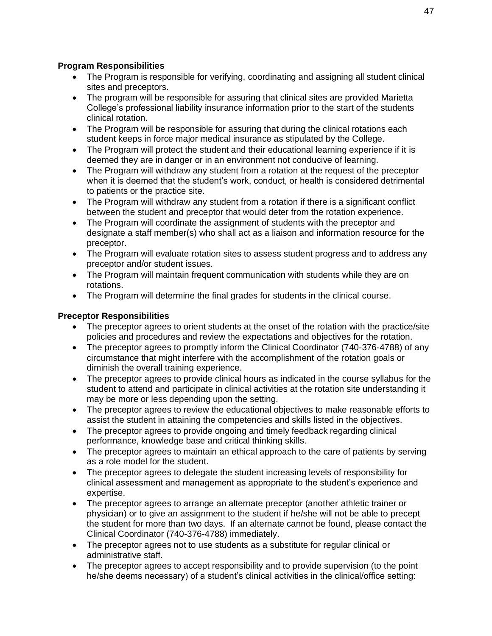## <span id="page-51-0"></span>**Program Responsibilities**

- The Program is responsible for verifying, coordinating and assigning all student clinical sites and preceptors.
- The program will be responsible for assuring that clinical sites are provided Marietta College's professional liability insurance information prior to the start of the students clinical rotation.
- The Program will be responsible for assuring that during the clinical rotations each student keeps in force major medical insurance as stipulated by the College.
- The Program will protect the student and their educational learning experience if it is deemed they are in danger or in an environment not conducive of learning.
- The Program will withdraw any student from a rotation at the request of the preceptor when it is deemed that the student's work, conduct, or health is considered detrimental to patients or the practice site.
- The Program will withdraw any student from a rotation if there is a significant conflict between the student and preceptor that would deter from the rotation experience.
- The Program will coordinate the assignment of students with the preceptor and designate a staff member(s) who shall act as a liaison and information resource for the preceptor.
- The Program will evaluate rotation sites to assess student progress and to address any preceptor and/or student issues.
- The Program will maintain frequent communication with students while they are on rotations.
- The Program will determine the final grades for students in the clinical course.

## <span id="page-51-1"></span>**Preceptor Responsibilities**

- The preceptor agrees to orient students at the onset of the rotation with the practice/site policies and procedures and review the expectations and objectives for the rotation.
- The preceptor agrees to promptly inform the Clinical Coordinator (740-376-4788) of any circumstance that might interfere with the accomplishment of the rotation goals or diminish the overall training experience.
- The preceptor agrees to provide clinical hours as indicated in the course syllabus for the student to attend and participate in clinical activities at the rotation site understanding it may be more or less depending upon the setting.
- The preceptor agrees to review the educational objectives to make reasonable efforts to assist the student in attaining the competencies and skills listed in the objectives.
- The preceptor agrees to provide ongoing and timely feedback regarding clinical performance, knowledge base and critical thinking skills.
- The preceptor agrees to maintain an ethical approach to the care of patients by serving as a role model for the student.
- The preceptor agrees to delegate the student increasing levels of responsibility for clinical assessment and management as appropriate to the student's experience and expertise.
- The preceptor agrees to arrange an alternate preceptor (another athletic trainer or physician) or to give an assignment to the student if he/she will not be able to precept the student for more than two days. If an alternate cannot be found, please contact the Clinical Coordinator (740-376-4788) immediately.
- The preceptor agrees not to use students as a substitute for regular clinical or administrative staff.
- The preceptor agrees to accept responsibility and to provide supervision (to the point he/she deems necessary) of a student's clinical activities in the clinical/office setting: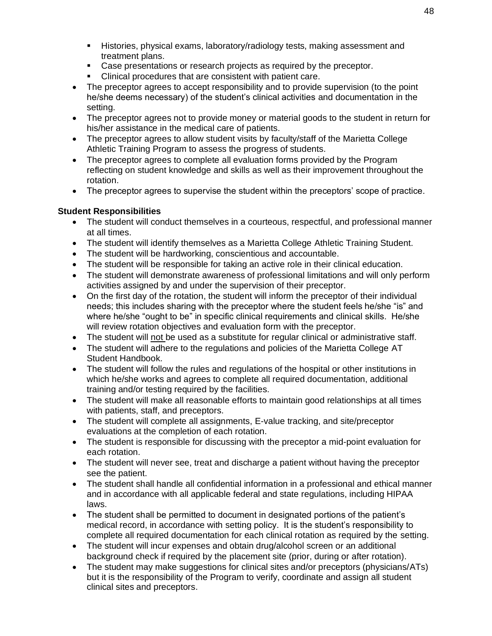- **E** Histories, physical exams, laboratory/radiology tests, making assessment and treatment plans.
- Case presentations or research projects as required by the preceptor.
- Clinical procedures that are consistent with patient care.
- The preceptor agrees to accept responsibility and to provide supervision (to the point he/she deems necessary) of the student's clinical activities and documentation in the setting.
- The preceptor agrees not to provide money or material goods to the student in return for his/her assistance in the medical care of patients.
- The preceptor agrees to allow student visits by faculty/staff of the Marietta College Athletic Training Program to assess the progress of students.
- The preceptor agrees to complete all evaluation forms provided by the Program reflecting on student knowledge and skills as well as their improvement throughout the rotation.
- The preceptor agrees to supervise the student within the preceptors' scope of practice.

#### <span id="page-52-0"></span>**Student Responsibilities**

- The student will conduct themselves in a courteous, respectful, and professional manner at all times.
- The student will identify themselves as a Marietta College Athletic Training Student.
- The student will be hardworking, conscientious and accountable.
- The student will be responsible for taking an active role in their clinical education.
- The student will demonstrate awareness of professional limitations and will only perform activities assigned by and under the supervision of their preceptor.
- On the first day of the rotation, the student will inform the preceptor of their individual needs; this includes sharing with the preceptor where the student feels he/she "is" and where he/she "ought to be" in specific clinical requirements and clinical skills. He/she will review rotation objectives and evaluation form with the preceptor.
- The student will not be used as a substitute for regular clinical or administrative staff.
- The student will adhere to the regulations and policies of the Marietta College AT Student Handbook.
- The student will follow the rules and regulations of the hospital or other institutions in which he/she works and agrees to complete all required documentation, additional training and/or testing required by the facilities.
- The student will make all reasonable efforts to maintain good relationships at all times with patients, staff, and preceptors.
- The student will complete all assignments, E-value tracking, and site/preceptor evaluations at the completion of each rotation.
- The student is responsible for discussing with the preceptor a mid-point evaluation for each rotation.
- The student will never see, treat and discharge a patient without having the preceptor see the patient.
- The student shall handle all confidential information in a professional and ethical manner and in accordance with all applicable federal and state regulations, including HIPAA laws.
- The student shall be permitted to document in designated portions of the patient's medical record, in accordance with setting policy. It is the student's responsibility to complete all required documentation for each clinical rotation as required by the setting.
- The student will incur expenses and obtain drug/alcohol screen or an additional background check if required by the placement site (prior, during or after rotation).
- The student may make suggestions for clinical sites and/or preceptors (physicians/ATs) but it is the responsibility of the Program to verify, coordinate and assign all student clinical sites and preceptors.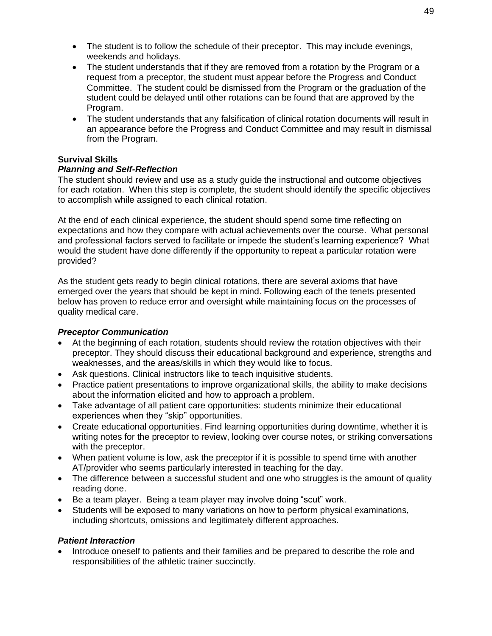- The student is to follow the schedule of their preceptor. This may include evenings, weekends and holidays.
- The student understands that if they are removed from a rotation by the Program or a request from a preceptor, the student must appear before the Progress and Conduct Committee. The student could be dismissed from the Program or the graduation of the student could be delayed until other rotations can be found that are approved by the Program.
- The student understands that any falsification of clinical rotation documents will result in an appearance before the Progress and Conduct Committee and may result in dismissal from the Program.

## <span id="page-53-0"></span>**Survival Skills**

#### <span id="page-53-1"></span>*Planning and Self-Reflection*

The student should review and use as a study guide the instructional and outcome objectives for each rotation. When this step is complete, the student should identify the specific objectives to accomplish while assigned to each clinical rotation.

At the end of each clinical experience, the student should spend some time reflecting on expectations and how they compare with actual achievements over the course. What personal and professional factors served to facilitate or impede the student's learning experience? What would the student have done differently if the opportunity to repeat a particular rotation were provided?

As the student gets ready to begin clinical rotations, there are several axioms that have emerged over the years that should be kept in mind. Following each of the tenets presented below has proven to reduce error and oversight while maintaining focus on the processes of quality medical care.

## <span id="page-53-2"></span>*Preceptor Communication*

- At the beginning of each rotation, students should review the rotation objectives with their preceptor. They should discuss their educational background and experience, strengths and weaknesses, and the areas/skills in which they would like to focus.
- Ask questions. Clinical instructors like to teach inquisitive students.
- Practice patient presentations to improve organizational skills, the ability to make decisions about the information elicited and how to approach a problem.
- Take advantage of all patient care opportunities: students minimize their educational experiences when they "skip" opportunities.
- Create educational opportunities. Find learning opportunities during downtime, whether it is writing notes for the preceptor to review, looking over course notes, or striking conversations with the preceptor.
- When patient volume is low, ask the preceptor if it is possible to spend time with another AT/provider who seems particularly interested in teaching for the day.
- The difference between a successful student and one who struggles is the amount of quality reading done.
- Be a team player. Being a team player may involve doing "scut" work.
- Students will be exposed to many variations on how to perform physical examinations, including shortcuts, omissions and legitimately different approaches.

#### <span id="page-53-3"></span>*Patient Interaction*

• Introduce oneself to patients and their families and be prepared to describe the role and responsibilities of the athletic trainer succinctly.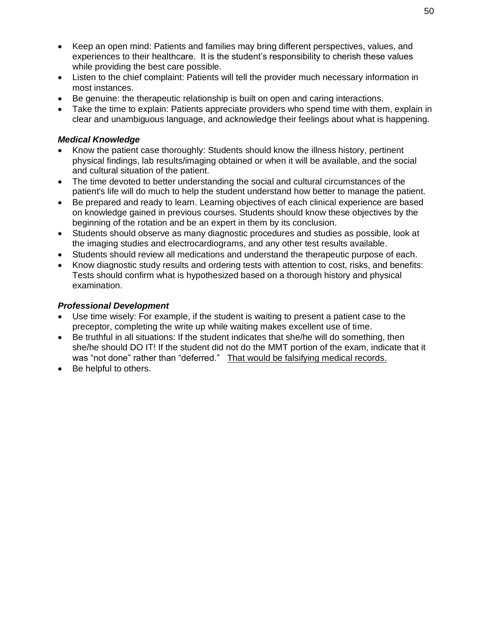- Keep an open mind: Patients and families may bring different perspectives, values, and experiences to their healthcare. It is the student's responsibility to cherish these values while providing the best care possible.
- Listen to the chief complaint: Patients will tell the provider much necessary information in most instances.
- Be genuine: the therapeutic relationship is built on open and caring interactions.
- Take the time to explain: Patients appreciate providers who spend time with them, explain in clear and unambiguous language, and acknowledge their feelings about what is happening.

## <span id="page-54-0"></span>*Medical Knowledge*

- Know the patient case thoroughly: Students should know the illness history, pertinent physical findings, lab results/imaging obtained or when it will be available, and the social and cultural situation of the patient.
- The time devoted to better understanding the social and cultural circumstances of the patient's life will do much to help the student understand how better to manage the patient.
- Be prepared and ready to learn. Learning objectives of each clinical experience are based on knowledge gained in previous courses. Students should know these objectives by the beginning of the rotation and be an expert in them by its conclusion.
- Students should observe as many diagnostic procedures and studies as possible, look at the imaging studies and electrocardiograms, and any other test results available.
- Students should review all medications and understand the therapeutic purpose of each.
- Know diagnostic study results and ordering tests with attention to cost, risks, and benefits: Tests should confirm what is hypothesized based on a thorough history and physical examination.

## <span id="page-54-1"></span>*Professional Development*

- Use time wisely: For example, if the student is waiting to present a patient case to the preceptor, completing the write up while waiting makes excellent use of time.
- Be truthful in all situations: If the student indicates that she/he will do something, then she/he should DO IT! If the student did not do the MMT portion of the exam, indicate that it was "not done" rather than "deferred." That would be falsifying medical records.
- Be helpful to others.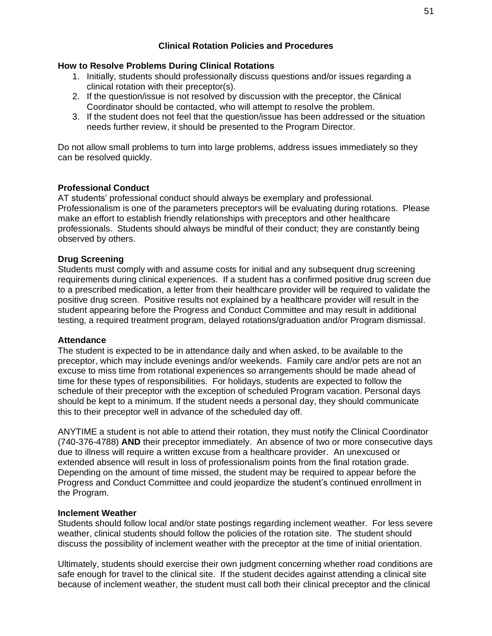### **Clinical Rotation Policies and Procedures**

#### <span id="page-55-1"></span><span id="page-55-0"></span>**How to Resolve Problems During Clinical Rotations**

- 1. Initially, students should professionally discuss questions and/or issues regarding a clinical rotation with their preceptor(s).
- 2. If the question/issue is not resolved by discussion with the preceptor, the Clinical Coordinator should be contacted, who will attempt to resolve the problem.
- 3. If the student does not feel that the question/issue has been addressed or the situation needs further review, it should be presented to the Program Director.

Do not allow small problems to turn into large problems, address issues immediately so they can be resolved quickly.

#### <span id="page-55-2"></span>**Professional Conduct**

AT students' professional conduct should always be exemplary and professional. Professionalism is one of the parameters preceptors will be evaluating during rotations. Please make an effort to establish friendly relationships with preceptors and other healthcare professionals. Students should always be mindful of their conduct; they are constantly being observed by others.

#### <span id="page-55-3"></span>**Drug Screening**

Students must comply with and assume costs for initial and any subsequent drug screening requirements during clinical experiences. If a student has a confirmed positive drug screen due to a prescribed medication, a letter from their healthcare provider will be required to validate the positive drug screen. Positive results not explained by a healthcare provider will result in the student appearing before the Progress and Conduct Committee and may result in additional testing, a required treatment program, delayed rotations/graduation and/or Program dismissal.

#### <span id="page-55-4"></span>**Attendance**

The student is expected to be in attendance daily and when asked, to be available to the preceptor, which may include evenings and/or weekends. Family care and/or pets are not an excuse to miss time from rotational experiences so arrangements should be made ahead of time for these types of responsibilities. For holidays, students are expected to follow the schedule of their preceptor with the exception of scheduled Program vacation. Personal days should be kept to a minimum. If the student needs a personal day, they should communicate this to their preceptor well in advance of the scheduled day off.

ANYTIME a student is not able to attend their rotation, they must notify the Clinical Coordinator (740-376-4788) **AND** their preceptor immediately. An absence of two or more consecutive days due to illness will require a written excuse from a healthcare provider. An unexcused or extended absence will result in loss of professionalism points from the final rotation grade. Depending on the amount of time missed, the student may be required to appear before the Progress and Conduct Committee and could jeopardize the student's continued enrollment in the Program.

#### <span id="page-55-5"></span>**Inclement Weather**

Students should follow local and/or state postings regarding inclement weather. For less severe weather, clinical students should follow the policies of the rotation site. The student should discuss the possibility of inclement weather with the preceptor at the time of initial orientation.

Ultimately, students should exercise their own judgment concerning whether road conditions are safe enough for travel to the clinical site. If the student decides against attending a clinical site because of inclement weather, the student must call both their clinical preceptor and the clinical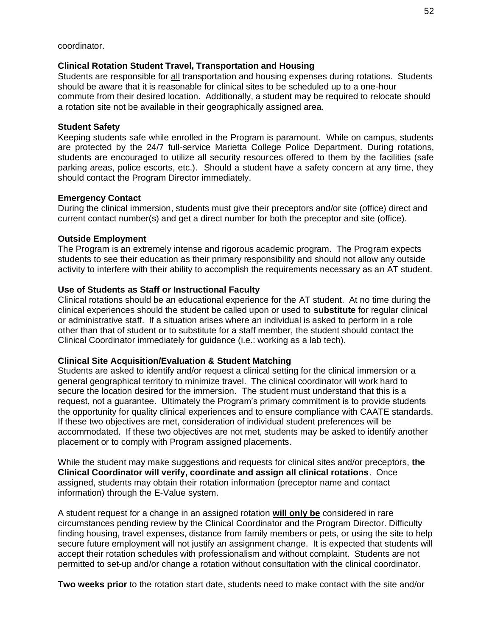coordinator.

#### <span id="page-56-0"></span>**Clinical Rotation Student Travel, Transportation and Housing**

Students are responsible for all transportation and housing expenses during rotations. Students should be aware that it is reasonable for clinical sites to be scheduled up to a one-hour commute from their desired location. Additionally, a student may be required to relocate should a rotation site not be available in their geographically assigned area.

#### <span id="page-56-1"></span>**Student Safety**

Keeping students safe while enrolled in the Program is paramount. While on campus, students are protected by the 24/7 full-service Marietta College Police Department. During rotations, students are encouraged to utilize all security resources offered to them by the facilities (safe parking areas, police escorts, etc.). Should a student have a safety concern at any time, they should contact the Program Director immediately.

#### <span id="page-56-2"></span>**Emergency Contact**

During the clinical immersion, students must give their preceptors and/or site (office) direct and current contact number(s) and get a direct number for both the preceptor and site (office).

#### <span id="page-56-3"></span>**Outside Employment**

The Program is an extremely intense and rigorous academic program. The Program expects students to see their education as their primary responsibility and should not allow any outside activity to interfere with their ability to accomplish the requirements necessary as an AT student.

#### <span id="page-56-4"></span>**Use of Students as Staff or Instructional Faculty**

Clinical rotations should be an educational experience for the AT student. At no time during the clinical experiences should the student be called upon or used to **substitute** for regular clinical or administrative staff. If a situation arises where an individual is asked to perform in a role other than that of student or to substitute for a staff member, the student should contact the Clinical Coordinator immediately for guidance (i.e.: working as a lab tech).

#### <span id="page-56-5"></span>**Clinical Site Acquisition/Evaluation & Student Matching**

Students are asked to identify and/or request a clinical setting for the clinical immersion or a general geographical territory to minimize travel. The clinical coordinator will work hard to secure the location desired for the immersion. The student must understand that this is a request, not a guarantee. Ultimately the Program's primary commitment is to provide students the opportunity for quality clinical experiences and to ensure compliance with CAATE standards. If these two objectives are met, consideration of individual student preferences will be accommodated. If these two objectives are not met, students may be asked to identify another placement or to comply with Program assigned placements.

While the student may make suggestions and requests for clinical sites and/or preceptors, **the Clinical Coordinator will verify, coordinate and assign all clinical rotations**. Once assigned, students may obtain their rotation information (preceptor name and contact information) through the E-Value system.

A student request for a change in an assigned rotation **will only be** considered in rare circumstances pending review by the Clinical Coordinator and the Program Director. Difficulty finding housing, travel expenses, distance from family members or pets, or using the site to help secure future employment will not justify an assignment change. It is expected that students will accept their rotation schedules with professionalism and without complaint. Students are not permitted to set-up and/or change a rotation without consultation with the clinical coordinator.

**Two weeks prior** to the rotation start date, students need to make contact with the site and/or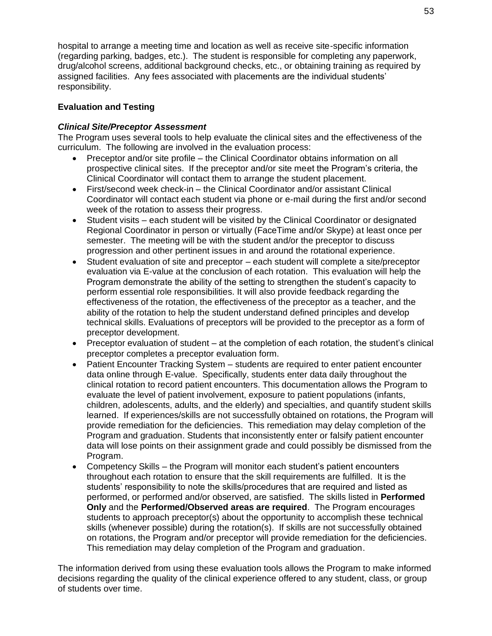hospital to arrange a meeting time and location as well as receive site-specific information (regarding parking, badges, etc.). The student is responsible for completing any paperwork, drug/alcohol screens, additional background checks, etc., or obtaining training as required by assigned facilities. Any fees associated with placements are the individual students' responsibility.

## <span id="page-57-0"></span>**Evaluation and Testing**

### <span id="page-57-1"></span>*Clinical Site/Preceptor Assessment*

The Program uses several tools to help evaluate the clinical sites and the effectiveness of the curriculum. The following are involved in the evaluation process:

- Preceptor and/or site profile the Clinical Coordinator obtains information on all prospective clinical sites. If the preceptor and/or site meet the Program's criteria, the Clinical Coordinator will contact them to arrange the student placement.
- First/second week check-in the Clinical Coordinator and/or assistant Clinical Coordinator will contact each student via phone or e-mail during the first and/or second week of the rotation to assess their progress.
- Student visits each student will be visited by the Clinical Coordinator or designated Regional Coordinator in person or virtually (FaceTime and/or Skype) at least once per semester. The meeting will be with the student and/or the preceptor to discuss progression and other pertinent issues in and around the rotational experience.
- Student evaluation of site and preceptor each student will complete a site/preceptor evaluation via E-value at the conclusion of each rotation. This evaluation will help the Program demonstrate the ability of the setting to strengthen the student's capacity to perform essential role responsibilities. It will also provide feedback regarding the effectiveness of the rotation, the effectiveness of the preceptor as a teacher, and the ability of the rotation to help the student understand defined principles and develop technical skills. Evaluations of preceptors will be provided to the preceptor as a form of preceptor development.
- Preceptor evaluation of student at the completion of each rotation, the student's clinical preceptor completes a preceptor evaluation form.
- Patient Encounter Tracking System students are required to enter patient encounter data online through E-value. Specifically, students enter data daily throughout the clinical rotation to record patient encounters. This documentation allows the Program to evaluate the level of patient involvement, exposure to patient populations (infants, children, adolescents, adults, and the elderly) and specialties, and quantify student skills learned. If experiences/skills are not successfully obtained on rotations, the Program will provide remediation for the deficiencies. This remediation may delay completion of the Program and graduation. Students that inconsistently enter or falsify patient encounter data will lose points on their assignment grade and could possibly be dismissed from the Program.
- Competency Skills the Program will monitor each student's patient encounters throughout each rotation to ensure that the skill requirements are fulfilled. It is the students' responsibility to note the skills/procedures that are required and listed as performed, or performed and/or observed, are satisfied. The skills listed in **Performed Only** and the **Performed/Observed areas are required**. The Program encourages students to approach preceptor(s) about the opportunity to accomplish these technical skills (whenever possible) during the rotation(s). If skills are not successfully obtained on rotations, the Program and/or preceptor will provide remediation for the deficiencies. This remediation may delay completion of the Program and graduation.

The information derived from using these evaluation tools allows the Program to make informed decisions regarding the quality of the clinical experience offered to any student, class, or group of students over time.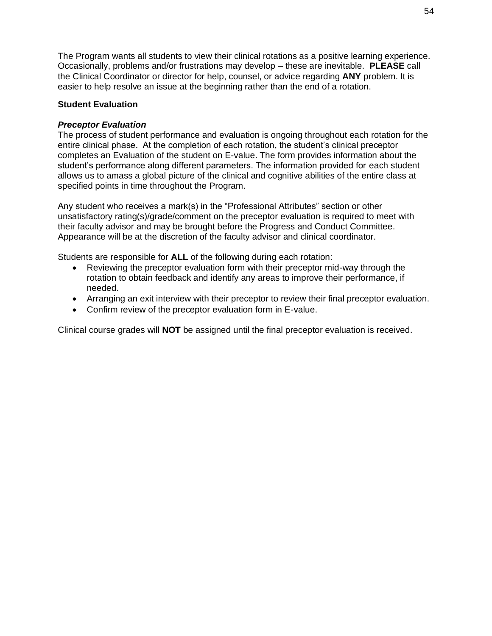The Program wants all students to view their clinical rotations as a positive learning experience. Occasionally, problems and/or frustrations may develop – these are inevitable. **PLEASE** call the Clinical Coordinator or director for help, counsel, or advice regarding **ANY** problem. It is easier to help resolve an issue at the beginning rather than the end of a rotation.

### <span id="page-58-0"></span>**Student Evaluation**

## <span id="page-58-1"></span>*Preceptor Evaluation*

The process of student performance and evaluation is ongoing throughout each rotation for the entire clinical phase. At the completion of each rotation, the student's clinical preceptor completes an Evaluation of the student on E-value. The form provides information about the student's performance along different parameters. The information provided for each student allows us to amass a global picture of the clinical and cognitive abilities of the entire class at specified points in time throughout the Program.

Any student who receives a mark(s) in the "Professional Attributes" section or other unsatisfactory rating(s)/grade/comment on the preceptor evaluation is required to meet with their faculty advisor and may be brought before the Progress and Conduct Committee. Appearance will be at the discretion of the faculty advisor and clinical coordinator.

Students are responsible for **ALL** of the following during each rotation:

- Reviewing the preceptor evaluation form with their preceptor mid-way through the rotation to obtain feedback and identify any areas to improve their performance, if needed.
- Arranging an exit interview with their preceptor to review their final preceptor evaluation.
- Confirm review of the preceptor evaluation form in E-value.

Clinical course grades will **NOT** be assigned until the final preceptor evaluation is received.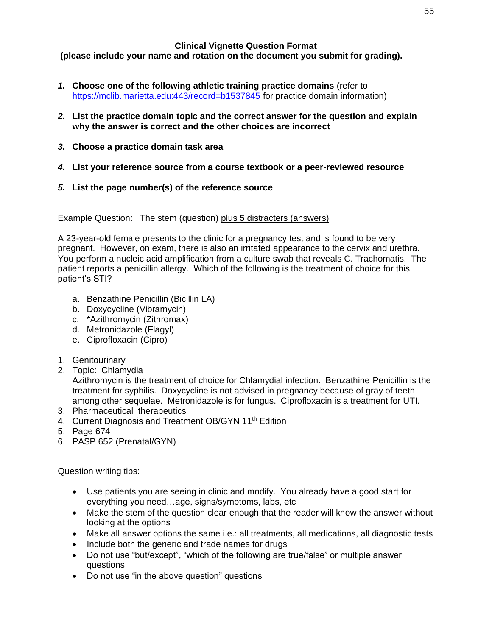#### **Clinical Vignette Question Format**

<span id="page-59-0"></span>**(please include your name and rotation on the document you submit for grading).**

- *1.* **Choose one of the following athletic training practice domains** (refer to [https://mclib.marietta.edu:443/record=b1537845](https://mclib.marietta.edu/record=b1537845) for practice domain information)
- *2.* **List the practice domain topic and the correct answer for the question and explain why the answer is correct and the other choices are incorrect**
- *3.* **Choose a practice domain task area**
- *4.* **List your reference source from a course textbook or a peer-reviewed resource**
- *5.* **List the page number(s) of the reference source**

Example Question: The stem (question) plus **5** distracters (answers)

A 23-year-old female presents to the clinic for a pregnancy test and is found to be very pregnant. However, on exam, there is also an irritated appearance to the cervix and urethra. You perform a nucleic acid amplification from a culture swab that reveals C. Trachomatis. The patient reports a penicillin allergy. Which of the following is the treatment of choice for this patient's STI?

- a. Benzathine Penicillin (Bicillin LA)
- b. Doxycycline (Vibramycin)
- c. \*Azithromycin (Zithromax)
- d. Metronidazole (Flagyl)
- e. Ciprofloxacin (Cipro)
- 1. Genitourinary
- 2. Topic: Chlamydia

Azithromycin is the treatment of choice for Chlamydial infection. Benzathine Penicillin is the treatment for syphilis. Doxycycline is not advised in pregnancy because of gray of teeth among other sequelae. Metronidazole is for fungus. Ciprofloxacin is a treatment for UTI.

- 3. Pharmaceutical therapeutics
- 4. Current Diagnosis and Treatment OB/GYN 11<sup>th</sup> Edition
- 5. Page 674
- 6. PASP 652 (Prenatal/GYN)

Question writing tips:

- Use patients you are seeing in clinic and modify. You already have a good start for everything you need…age, signs/symptoms, labs, etc
- Make the stem of the question clear enough that the reader will know the answer without looking at the options
- Make all answer options the same i.e.: all treatments, all medications, all diagnostic tests
- Include both the generic and trade names for drugs
- Do not use "but/except", "which of the following are true/false" or multiple answer questions
- Do not use "in the above question" questions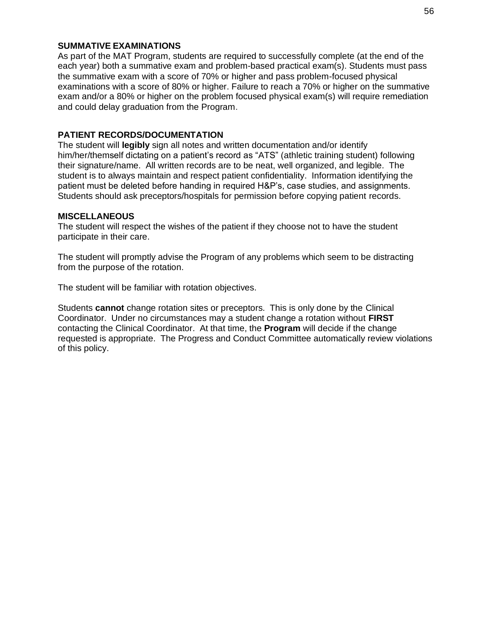#### **SUMMATIVE EXAMINATIONS**

As part of the MAT Program, students are required to successfully complete (at the end of the each year) both a summative exam and problem-based practical exam(s). Students must pass the summative exam with a score of 70% or higher and pass problem-focused physical examinations with a score of 80% or higher. Failure to reach a 70% or higher on the summative exam and/or a 80% or higher on the problem focused physical exam(s) will require remediation and could delay graduation from the Program.

### <span id="page-60-0"></span>**PATIENT RECORDS/DOCUMENTATION**

The student will **legibly** sign all notes and written documentation and/or identify him/her/themself dictating on a patient's record as "ATS" (athletic training student) following their signature/name. All written records are to be neat, well organized, and legible. The student is to always maintain and respect patient confidentiality. Information identifying the patient must be deleted before handing in required H&P's, case studies, and assignments. Students should ask preceptors/hospitals for permission before copying patient records.

#### <span id="page-60-1"></span>**MISCELLANEOUS**

The student will respect the wishes of the patient if they choose not to have the student participate in their care.

The student will promptly advise the Program of any problems which seem to be distracting from the purpose of the rotation.

The student will be familiar with rotation objectives.

Students **cannot** change rotation sites or preceptors. This is only done by the Clinical Coordinator. Under no circumstances may a student change a rotation without **FIRST**  contacting the Clinical Coordinator. At that time, the **Program** will decide if the change requested is appropriate. The Progress and Conduct Committee automatically review violations of this policy.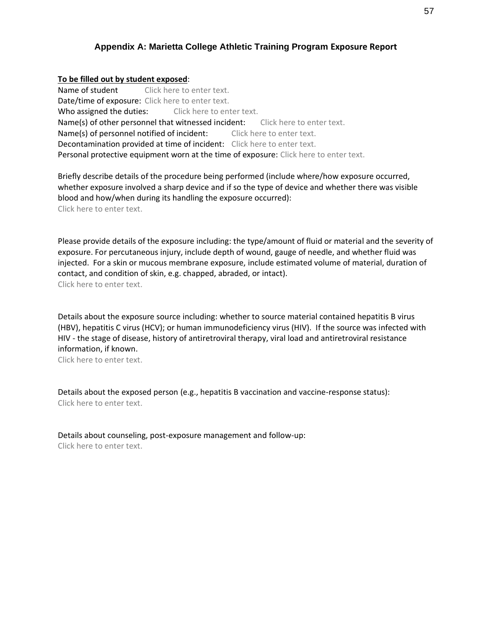#### **Appendix A: Marietta College Athletic Training Program Exposure Report**

#### <span id="page-61-0"></span>**To be filled out by student exposed**:

Name of student Click here to enter text. Date/time of exposure: Click here to enter text. Who assigned the duties: Click here to enter text. Name(s) of other personnel that witnessed incident: Click here to enter text. Name(s) of personnel notified of incident: Click here to enter text. Decontamination provided at time of incident: Click here to enter text. Personal protective equipment worn at the time of exposure: Click here to enter text.

Briefly describe details of the procedure being performed (include where/how exposure occurred, whether exposure involved a sharp device and if so the type of device and whether there was visible blood and how/when during its handling the exposure occurred): Click here to enter text.

Please provide details of the exposure including: the type/amount of fluid or material and the severity of exposure. For percutaneous injury, include depth of wound, gauge of needle, and whether fluid was injected. For a skin or mucous membrane exposure, include estimated volume of material, duration of contact, and condition of skin, e.g. chapped, abraded, or intact). Click here to enter text.

Details about the exposure source including: whether to source material contained hepatitis B virus (HBV), hepatitis C virus (HCV); or human immunodeficiency virus (HIV). If the source was infected with HIV - the stage of disease, history of antiretroviral therapy, viral load and antiretroviral resistance information, if known.

Click here to enter text.

Details about the exposed person (e.g., hepatitis B vaccination and vaccine-response status): Click here to enter text.

Details about counseling, post-exposure management and follow-up: Click here to enter text.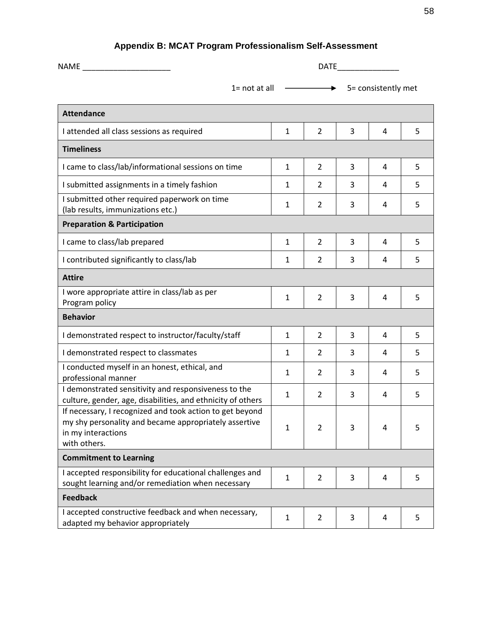| Appendix B: MCAT Program Professionalism Self-Assessment |
|----------------------------------------------------------|
|----------------------------------------------------------|

<span id="page-62-0"></span>

| <b>NAME Example 20</b>                                                                                                                                  | <b>DATE</b>         |                |   |   |   |  |  |
|---------------------------------------------------------------------------------------------------------------------------------------------------------|---------------------|----------------|---|---|---|--|--|
| $1 = not at all$                                                                                                                                        | 5= consistently met |                |   |   |   |  |  |
| <b>Attendance</b>                                                                                                                                       |                     |                |   |   |   |  |  |
| I attended all class sessions as required                                                                                                               | 1                   | $\overline{2}$ | 3 | 4 | 5 |  |  |
| <b>Timeliness</b>                                                                                                                                       |                     |                |   |   |   |  |  |
| I came to class/lab/informational sessions on time                                                                                                      | 1                   | $\overline{2}$ | 3 | 4 | 5 |  |  |
| I submitted assignments in a timely fashion                                                                                                             | 1                   | $\overline{2}$ | 3 | 4 | 5 |  |  |
| I submitted other required paperwork on time<br>(lab results, immunizations etc.)                                                                       | 1                   | $\overline{2}$ | 3 | 4 | 5 |  |  |
| <b>Preparation &amp; Participation</b>                                                                                                                  |                     |                |   |   |   |  |  |
| I came to class/lab prepared                                                                                                                            | $\mathbf{1}$        | $\overline{2}$ | 3 | 4 | 5 |  |  |
| I contributed significantly to class/lab                                                                                                                | 1                   | $\overline{2}$ | 3 | 4 | 5 |  |  |
| <b>Attire</b>                                                                                                                                           |                     |                |   |   |   |  |  |
| I wore appropriate attire in class/lab as per<br>Program policy                                                                                         | $\mathbf{1}$        | $\overline{2}$ | 3 | 4 | 5 |  |  |
| <b>Behavior</b>                                                                                                                                         |                     |                |   |   |   |  |  |
| I demonstrated respect to instructor/faculty/staff                                                                                                      | 1                   | $\overline{2}$ | 3 | 4 | 5 |  |  |
| I demonstrated respect to classmates                                                                                                                    | 1                   | $\overline{2}$ | 3 | 4 | 5 |  |  |
| I conducted myself in an honest, ethical, and<br>professional manner                                                                                    | 1                   | 2              | 3 | 4 | 5 |  |  |
| I demonstrated sensitivity and responsiveness to the<br>culture, gender, age, disabilities, and ethnicity of others                                     | 1                   | $\overline{2}$ | 3 | 4 | 5 |  |  |
| If necessary, I recognized and took action to get beyond<br>my shy personality and became appropriately assertive<br>in my interactions<br>with others. | 1                   | $\overline{2}$ | 3 | 4 | 5 |  |  |
| <b>Commitment to Learning</b>                                                                                                                           |                     |                |   |   |   |  |  |
| I accepted responsibility for educational challenges and<br>sought learning and/or remediation when necessary                                           | 1                   | $\overline{2}$ | 3 | 4 | 5 |  |  |
| <b>Feedback</b>                                                                                                                                         |                     |                |   |   |   |  |  |
| I accepted constructive feedback and when necessary,<br>adapted my behavior appropriately                                                               | $\mathbf{1}$        | $\overline{2}$ | 3 | 4 | 5 |  |  |